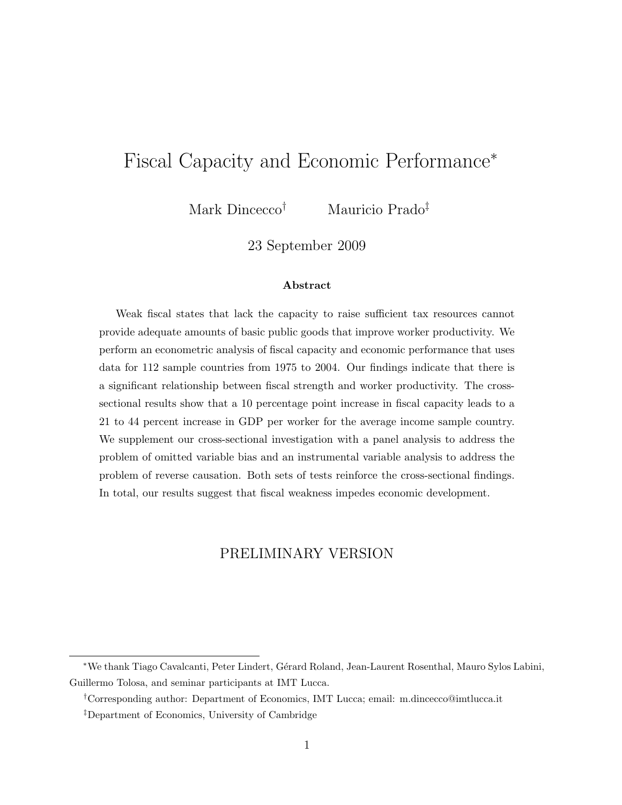# Fiscal Capacity and Economic Performance<sup>∗</sup>

Mark Dincecco† Mauricio Prado‡

23 September 2009

#### Abstract

Weak fiscal states that lack the capacity to raise sufficient tax resources cannot provide adequate amounts of basic public goods that improve worker productivity. We perform an econometric analysis of fiscal capacity and economic performance that uses data for 112 sample countries from 1975 to 2004. Our findings indicate that there is a significant relationship between fiscal strength and worker productivity. The crosssectional results show that a 10 percentage point increase in fiscal capacity leads to a 21 to 44 percent increase in GDP per worker for the average income sample country. We supplement our cross-sectional investigation with a panel analysis to address the problem of omitted variable bias and an instrumental variable analysis to address the problem of reverse causation. Both sets of tests reinforce the cross-sectional findings. In total, our results suggest that fiscal weakness impedes economic development.

#### PRELIMINARY VERSION

<sup>∗</sup>We thank Tiago Cavalcanti, Peter Lindert, G´erard Roland, Jean-Laurent Rosenthal, Mauro Sylos Labini, Guillermo Tolosa, and seminar participants at IMT Lucca.

<sup>†</sup>Corresponding author: Department of Economics, IMT Lucca; email: m.dincecco@imtlucca.it

<sup>‡</sup>Department of Economics, University of Cambridge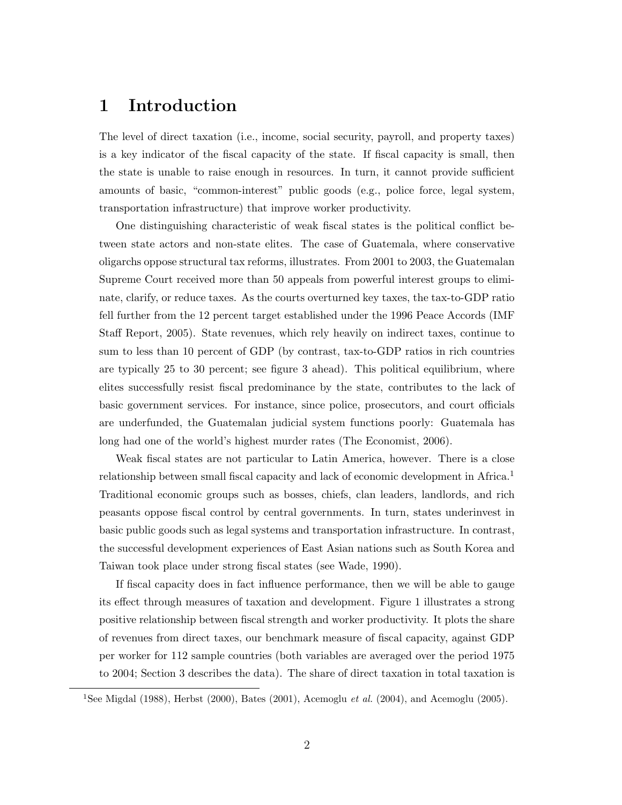#### 1 Introduction

The level of direct taxation (i.e., income, social security, payroll, and property taxes) is a key indicator of the fiscal capacity of the state. If fiscal capacity is small, then the state is unable to raise enough in resources. In turn, it cannot provide sufficient amounts of basic, "common-interest" public goods (e.g., police force, legal system, transportation infrastructure) that improve worker productivity.

One distinguishing characteristic of weak fiscal states is the political conflict between state actors and non-state elites. The case of Guatemala, where conservative oligarchs oppose structural tax reforms, illustrates. From 2001 to 2003, the Guatemalan Supreme Court received more than 50 appeals from powerful interest groups to eliminate, clarify, or reduce taxes. As the courts overturned key taxes, the tax-to-GDP ratio fell further from the 12 percent target established under the 1996 Peace Accords [\(IMF](#page-22-0) [Staff Report,](#page-22-0) [2005\)](#page-22-0). State revenues, which rely heavily on indirect taxes, continue to sum to less than 10 percent of GDP (by contrast, tax-to-GDP ratios in rich countries are typically 25 to 30 percent; see figure [3](#page-33-0) ahead). This political equilibrium, where elites successfully resist fiscal predominance by the state, contributes to the lack of basic government services. For instance, since police, prosecutors, and court officials are underfunded, the Guatemalan judicial system functions poorly: Guatemala has long had one of the world's highest murder rates [\(The Economist,](#page-21-0) [2006\)](#page-21-0).

Weak fiscal states are not particular to Latin America, however. There is a close relationship between small fiscal capacity and lack of economic development in Africa.<sup>1</sup> Traditional economic groups such as bosses, chiefs, clan leaders, landlords, and rich peasants oppose fiscal control by central governments. In turn, states underinvest in basic public goods such as legal systems and transportation infrastructure. In contrast, the successful development experiences of East Asian nations such as South Korea and Taiwan took place under strong fiscal states (see [Wade,](#page-23-0) [1990\)](#page-23-0).

If fiscal capacity does in fact influence performance, then we will be able to gauge its effect through measures of taxation and development. Figure [1](#page-31-0) illustrates a strong positive relationship between fiscal strength and worker productivity. It plots the share of revenues from direct taxes, our benchmark measure of fiscal capacity, against GDP per worker for 112 sample countries (both variables are averaged over the period 1975 to 2004; Section [3](#page-5-0) describes the data). The share of direct taxation in total taxation is

<sup>&</sup>lt;sup>1</sup>See [Migdal](#page-22-1) [\(1988\)](#page-22-1), [Herbst](#page-21-1) [\(2000\)](#page-21-1), [Bates](#page-20-0) [\(2001\)](#page-20-0), [Acemoglu](#page-20-2) *et al.* [\(2004\)](#page-20-1), and Acemoglu [\(2005\)](#page-20-2).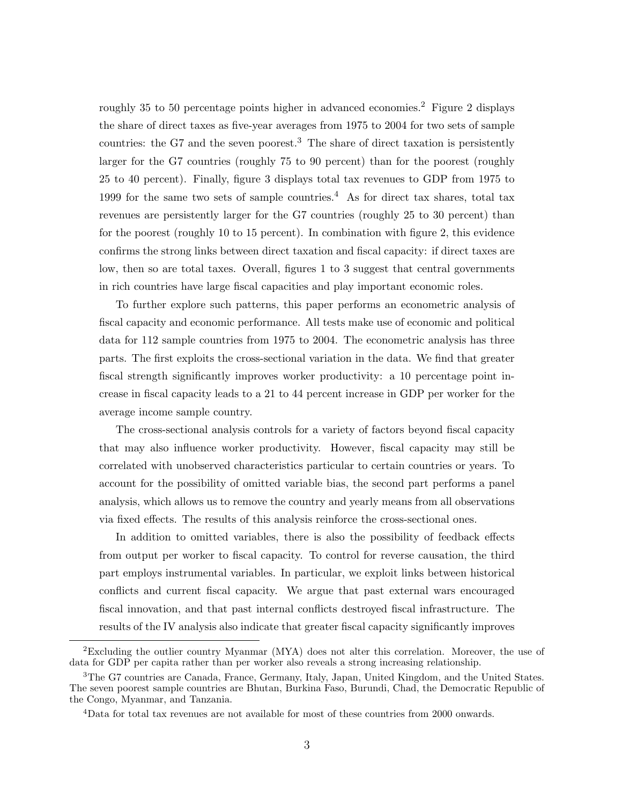roughly 35 to 50 percentage points higher in advanced economies.<sup>[2](#page-32-0)</sup> Figure 2 displays the share of direct taxes as five-year averages from 1975 to 2004 for two sets of sample countries: the G7 and the seven poorest.<sup>3</sup> The share of direct taxation is persistently larger for the G7 countries (roughly 75 to 90 percent) than for the poorest (roughly 25 to 40 percent). Finally, figure [3](#page-33-0) displays total tax revenues to GDP from 1975 to 1999 for the same two sets of sample countries.<sup>4</sup> As for direct tax shares, total tax revenues are persistently larger for the G7 countries (roughly 25 to 30 percent) than for the poorest (roughly 10 to 15 percent). In combination with figure [2,](#page-32-0) this evidence confirms the strong links between direct taxation and fiscal capacity: if direct taxes are low, then so are total taxes. Overall, figures [1](#page-31-0) to [3](#page-33-0) suggest that central governments in rich countries have large fiscal capacities and play important economic roles.

To further explore such patterns, this paper performs an econometric analysis of fiscal capacity and economic performance. All tests make use of economic and political data for 112 sample countries from 1975 to 2004. The econometric analysis has three parts. The first exploits the cross-sectional variation in the data. We find that greater fiscal strength significantly improves worker productivity: a 10 percentage point increase in fiscal capacity leads to a 21 to 44 percent increase in GDP per worker for the average income sample country.

The cross-sectional analysis controls for a variety of factors beyond fiscal capacity that may also influence worker productivity. However, fiscal capacity may still be correlated with unobserved characteristics particular to certain countries or years. To account for the possibility of omitted variable bias, the second part performs a panel analysis, which allows us to remove the country and yearly means from all observations via fixed effects. The results of this analysis reinforce the cross-sectional ones.

In addition to omitted variables, there is also the possibility of feedback effects from output per worker to fiscal capacity. To control for reverse causation, the third part employs instrumental variables. In particular, we exploit links between historical conflicts and current fiscal capacity. We argue that past external wars encouraged fiscal innovation, and that past internal conflicts destroyed fiscal infrastructure. The results of the IV analysis also indicate that greater fiscal capacity significantly improves

<sup>&</sup>lt;sup>2</sup>Excluding the outlier country Myanmar (MYA) does not alter this correlation. Moreover, the use of data for GDP per capita rather than per worker also reveals a strong increasing relationship.

<sup>&</sup>lt;sup>3</sup>The G7 countries are Canada, France, Germany, Italy, Japan, United Kingdom, and the United States. The seven poorest sample countries are Bhutan, Burkina Faso, Burundi, Chad, the Democratic Republic of the Congo, Myanmar, and Tanzania.

<sup>4</sup>Data for total tax revenues are not available for most of these countries from 2000 onwards.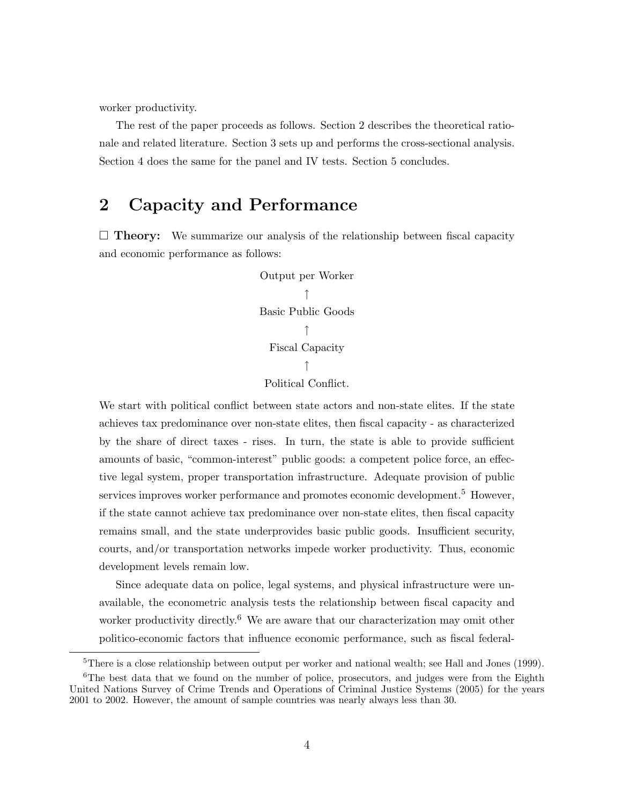worker productivity.

The rest of the paper proceeds as follows. Section [2](#page-3-0) describes the theoretical rationale and related literature. Section [3](#page-5-0) sets up and performs the cross-sectional analysis. Section [4](#page-9-0) does the same for the panel and IV tests. Section [5](#page-14-0) concludes.

#### <span id="page-3-0"></span>2 Capacity and Performance

 $\Box$  Theory: We summarize our analysis of the relationship between fiscal capacity and economic performance as follows:

> Output per Worker ↑ Basic Public Goods ↑ Fiscal Capacity ↑ Political Conflict.

We start with political conflict between state actors and non-state elites. If the state achieves tax predominance over non-state elites, then fiscal capacity - as characterized by the share of direct taxes - rises. In turn, the state is able to provide sufficient amounts of basic, "common-interest" public goods: a competent police force, an effective legal system, proper transportation infrastructure. Adequate provision of public services improves worker performance and promotes economic development.<sup>5</sup> However, if the state cannot achieve tax predominance over non-state elites, then fiscal capacity remains small, and the state underprovides basic public goods. Insufficient security, courts, and/or transportation networks impede worker productivity. Thus, economic development levels remain low.

Since adequate data on police, legal systems, and physical infrastructure were unavailable, the econometric analysis tests the relationship between fiscal capacity and worker productivity directly.<sup>6</sup> We are aware that our characterization may omit other politico-economic factors that influence economic performance, such as fiscal federal-

<sup>&</sup>lt;sup>5</sup>There is a close relationship between output per worker and national wealth; see [Hall and Jones](#page-21-2) [\(1999\)](#page-21-2).

 ${}^{6}$ The best data that we found on the number of police, prosecutors, and judges were from the [Eighth](#page-23-1) [United Nations Survey of Crime Trends and Operations of Criminal Justice Systems](#page-23-1) [\(2005\)](#page-23-1) for the years 2001 to 2002. However, the amount of sample countries was nearly always less than 30.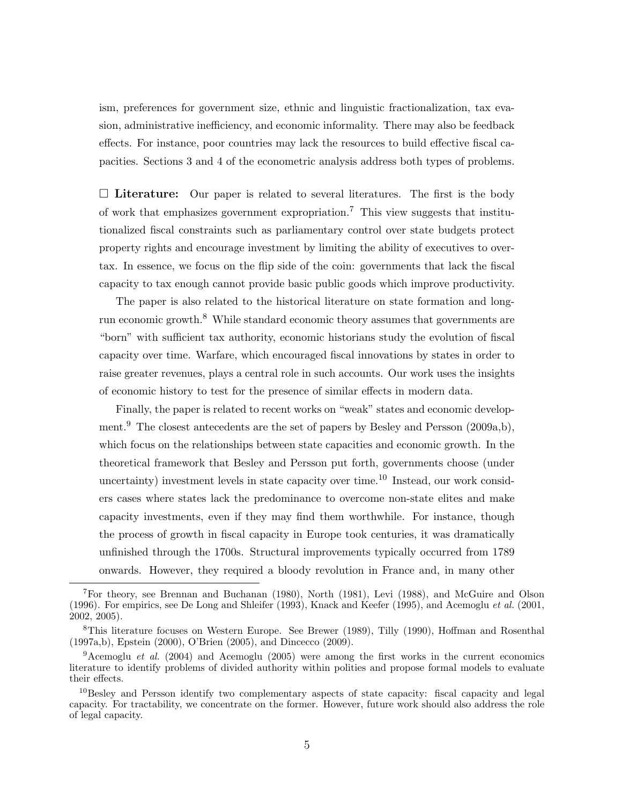ism, preferences for government size, ethnic and linguistic fractionalization, tax evasion, administrative inefficiency, and economic informality. There may also be feedback effects. For instance, poor countries may lack the resources to build effective fiscal capacities. Sections [3](#page-5-0) and [4](#page-9-0) of the econometric analysis address both types of problems.

 $\Box$  Literature: Our paper is related to several literatures. The first is the body of work that emphasizes government expropriation.<sup>7</sup> This view suggests that institutionalized fiscal constraints such as parliamentary control over state budgets protect property rights and encourage investment by limiting the ability of executives to overtax. In essence, we focus on the flip side of the coin: governments that lack the fiscal capacity to tax enough cannot provide basic public goods which improve productivity.

The paper is also related to the historical literature on state formation and longrun economic growth.<sup>8</sup> While standard economic theory assumes that governments are "born" with sufficient tax authority, economic historians study the evolution of fiscal capacity over time. Warfare, which encouraged fiscal innovations by states in order to raise greater revenues, plays a central role in such accounts. Our work uses the insights of economic history to test for the presence of similar effects in modern data.

Finally, the paper is related to recent works on "weak" states and economic develop-ment.<sup>9</sup> The closest antecedents are the set of papers by [Besley and Persson](#page-20-3) [\(2009a](#page-20-3)[,b\)](#page-21-3), which focus on the relationships between state capacities and economic growth. In the theoretical framework that Besley and Persson put forth, governments choose (under uncertainty) investment levels in state capacity over time.<sup>10</sup> Instead, our work considers cases where states lack the predominance to overcome non-state elites and make capacity investments, even if they may find them worthwhile. For instance, though the process of growth in fiscal capacity in Europe took centuries, it was dramatically unfinished through the 1700s. Structural improvements typically occurred from 1789 onwards. However, they required a bloody revolution in France and, in many other

<sup>7</sup>For theory, see [Brennan and Buchanan](#page-21-4) [\(1980\)](#page-21-4), [North](#page-22-2) [\(1981\)](#page-22-2), [Levi](#page-22-3) [\(1988\)](#page-22-3), and [McGuire and Olson](#page-22-4) [\(1996\)](#page-22-4). For empirics, see [De Long and Shleifer](#page-21-5) [\(1993\)](#page-21-5), [Knack and Keefer](#page-22-5) [\(1995\)](#page-22-5), and [Acemoglu](#page-20-4) et al. [\(2001,](#page-20-4)  $2002, 2005$  $2002, 2005$ ).

<sup>8</sup>This literature focuses on Western Europe. See [Brewer](#page-21-6) [\(1989\)](#page-21-6), [Tilly](#page-23-2) [\(1990\)](#page-23-2), [Hoffman and Rosenthal](#page-22-6) [\(1997a,](#page-22-6)[b\)](#page-22-7), [Epstein](#page-21-7) [\(2000\)](#page-21-7), [O'Brien](#page-22-8) [\(2005\)](#page-22-8), and [Dincecco](#page-21-8) [\(2009\)](#page-21-8).

<sup>&</sup>lt;sup>9</sup>[Acemoglu](#page-20-2) *et al.* [\(2004\)](#page-20-1) and Acemoglu [\(2005\)](#page-20-2) were among the first works in the current economics literature to identify problems of divided authority within polities and propose formal models to evaluate their effects.

<sup>&</sup>lt;sup>10</sup>Besley and Persson identify two complementary aspects of state capacity: fiscal capacity and legal capacity. For tractability, we concentrate on the former. However, future work should also address the role of legal capacity.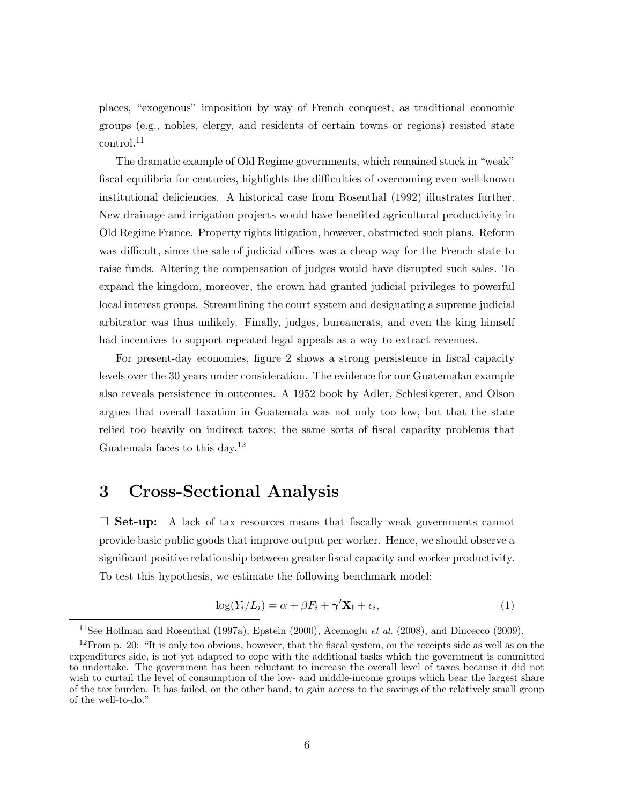places, "exogenous" imposition by way of French conquest, as traditional economic groups (e.g., nobles, clergy, and residents of certain towns or regions) resisted state control.<sup>11</sup>

The dramatic example of Old Regime governments, which remained stuck in "weak" fiscal equilibria for centuries, highlights the difficulties of overcoming even well-known institutional deficiencies. A historical case from [Rosenthal](#page-23-3) [\(1992\)](#page-23-3) illustrates further. New drainage and irrigation projects would have benefited agricultural productivity in Old Regime France. Property rights litigation, however, obstructed such plans. Reform was difficult, since the sale of judicial offices was a cheap way for the French state to raise funds. Altering the compensation of judges would have disrupted such sales. To expand the kingdom, moreover, the crown had granted judicial privileges to powerful local interest groups. Streamlining the court system and designating a supreme judicial arbitrator was thus unlikely. Finally, judges, bureaucrats, and even the king himself had incentives to support repeated legal appeals as a way to extract revenues.

For present-day economies, figure [2](#page-32-0) shows a strong persistence in fiscal capacity levels over the 30 years under consideration. The evidence for our Guatemalan example also reveals persistence in outcomes. A 1952 book by Adler, Schlesikgerer, and Olson argues that overall taxation in Guatemala was not only too low, but that the state relied too heavily on indirect taxes; the same sorts of fiscal capacity problems that Guatemala faces to this day.<sup>12</sup>

#### <span id="page-5-0"></span>3 Cross-Sectional Analysis

 $\Box$  Set-up: A lack of tax resources means that fiscally weak governments cannot provide basic public goods that improve output per worker. Hence, we should observe a significant positive relationship between greater fiscal capacity and worker productivity. To test this hypothesis, we estimate the following benchmark model:

$$
\log(Y_i/L_i) = \alpha + \beta F_i + \gamma' \mathbf{X_i} + \epsilon_i,
$$
\n(1)

<sup>&</sup>lt;sup>11</sup>See [Hoffman and Rosenthal](#page-22-6) [\(1997a\)](#page-22-6), [Epstein](#page-21-7) [\(2000\)](#page-21-7), [Acemoglu](#page-20-7) et al. [\(2008\)](#page-20-7), and [Dincecco](#page-21-8) [\(2009\)](#page-21-8).

 $12$ From p. 20: "It is only too obvious, however, that the fiscal system, on the receipts side as well as on the expenditures side, is not yet adapted to cope with the additional tasks which the government is committed to undertake. The government has been reluctant to increase the overall level of taxes because it did not wish to curtail the level of consumption of the low- and middle-income groups which bear the largest share of the tax burden. It has failed, on the other hand, to gain access to the savings of the relatively small group of the well-to-do."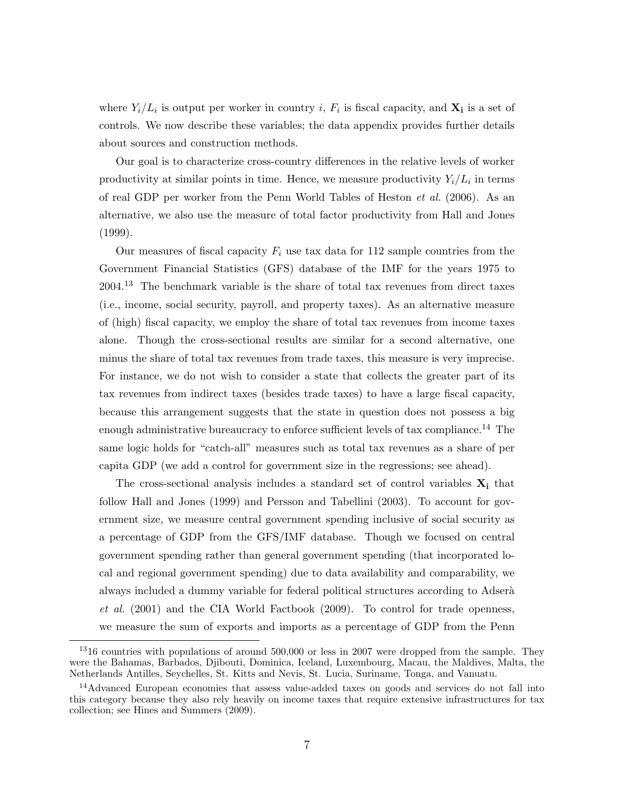where  $Y_i/L_i$  is output per worker in country i,  $F_i$  is fiscal capacity, and  $\mathbf{X_i}$  is a set of controls. We now describe these variables; the data appendix provides further details about sources and construction methods.

Our goal is to characterize cross-country differences in the relative levels of worker productivity at similar points in time. Hence, we measure productivity  $Y_i/L_i$  in terms of real GDP per worker from the [Penn World Tables of Heston](#page-21-9) et al. [\(2006\)](#page-21-9). As an alternative, we also use the measure of total factor productivity from [Hall and Jones](#page-21-2) [\(1999\)](#page-21-2).

Our measures of fiscal capacity  $F_i$  use tax data for 112 sample countries from the Government Financial Statistics (GFS) database of the IMF for the years 1975 to 2004.<sup>13</sup> The benchmark variable is the share of total tax revenues from direct taxes (i.e., income, social security, payroll, and property taxes). As an alternative measure of (high) fiscal capacity, we employ the share of total tax revenues from income taxes alone. Though the cross-sectional results are similar for a second alternative, one minus the share of total tax revenues from trade taxes, this measure is very imprecise. For instance, we do not wish to consider a state that collects the greater part of its tax revenues from indirect taxes (besides trade taxes) to have a large fiscal capacity, because this arrangement suggests that the state in question does not possess a big enough administrative bureaucracy to enforce sufficient levels of tax compliance.<sup>14</sup> The same logic holds for "catch-all" measures such as total tax revenues as a share of per capita GDP (we add a control for government size in the regressions; see ahead).

The cross-sectional analysis includes a standard set of control variables  $\mathbf{X}_i$  that follow [Hall and Jones](#page-21-2) [\(1999\)](#page-21-2) and [Persson and Tabellini](#page-23-4) [\(2003\)](#page-23-4). To account for government size, we measure central government spending inclusive of social security as a percentage of GDP from the GFS/IMF database. Though we focused on central government spending rather than general government spending (that incorporated local and regional government spending) due to data availability and comparability, we always included a dummy variable for federal political structures according to Adser $\hat{a}$ [et al.](#page-20-8) [\(2001\)](#page-20-8) and the [CIA World Factbook](#page-21-10) [\(2009\)](#page-21-10). To control for trade openness, we measure the sum of exports and imports as a percentage of GDP from the [Penn](#page-21-9)

<sup>&</sup>lt;sup>13</sup>[16 countries with populations of around 500,000 or less in 2007 were dropped from the sample. They](#page-21-9) [were the Bahamas, Barbados, Djibouti, Dominica, Iceland, Luxembourg, Macau, the Maldives, Malta, the](#page-21-9) [Netherlands Antilles, Seychelles, St. Kitts and Nevis, St. Lucia, Suriname, Tonga, and Vanuatu.](#page-21-9)

<sup>&</sup>lt;sup>14</sup>[Advanced European economies that assess value-added taxes on goods and services do not fall into](#page-21-9) [this category because they also rely heavily on income taxes that require extensive infrastructures for tax](#page-21-9) collection; see [Hines and Summers](#page-21-9) [\(2009\)](#page-22-9).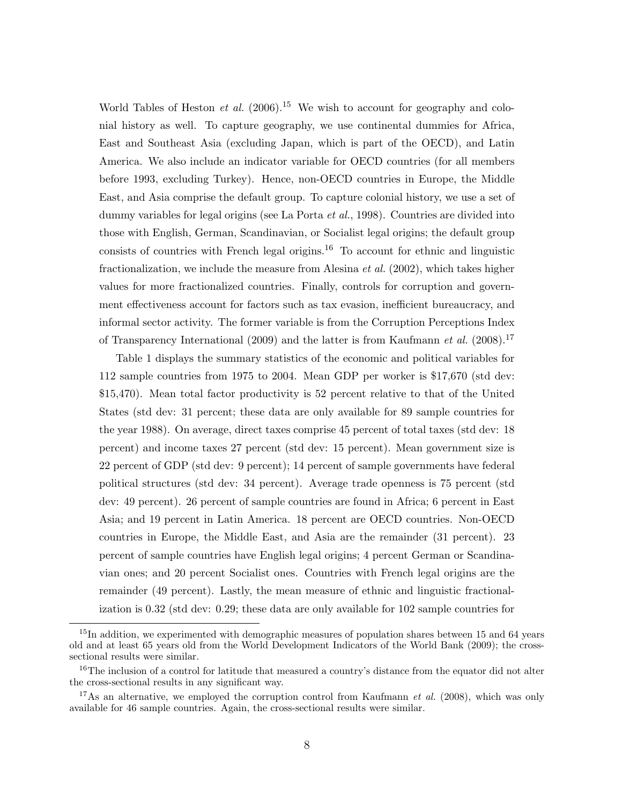[World Tables of Heston](#page-21-9) *et al.* [\(2006\)](#page-21-9).<sup>15</sup> We wish to account for geography and colonial history as well. To capture geography, we use continental dummies for Africa, East and Southeast Asia (excluding Japan, which is part of the OECD), and Latin America. We also include an indicator variable for OECD countries (for all members before 1993, excluding Turkey). Hence, non-OECD countries in Europe, the Middle East, and Asia comprise the default group. To capture colonial history, we use a set of dummy variables for legal origins (see [La Porta](#page-22-10) *et al.*, [1998\)](#page-22-10). Countries are divided into those with English, German, Scandinavian, or Socialist legal origins; the default group consists of countries with French legal origins.<sup>16</sup> To account for ethnic and linguistic fractionalization, we include the measure from [Alesina](#page-20-9) *et al.* [\(2002\)](#page-20-9), which takes higher values for more fractionalized countries. Finally, controls for corruption and government effectiveness account for factors such as tax evasion, inefficient bureaucracy, and informal sector activity. The former variable is from the Corruption Perceptions Index of [Transparency International](#page-23-5) [\(2009\)](#page-23-5) and the latter is from [Kaufmann](#page-22-11) *et al.* [\(2008\)](#page-22-11).<sup>17</sup>

Table 1 displays the summary statistics of the economic and political variables for 112 sample countries from 1975 to 2004. Mean GDP per worker is \$17,670 (std dev: \$15,470). Mean total factor productivity is 52 percent relative to that of the United States (std dev: 31 percent; these data are only available for 89 sample countries for the year 1988). On average, direct taxes comprise 45 percent of total taxes (std dev: 18 percent) and income taxes 27 percent (std dev: 15 percent). Mean government size is 22 percent of GDP (std dev: 9 percent); 14 percent of sample governments have federal political structures (std dev: 34 percent). Average trade openness is 75 percent (std dev: 49 percent). 26 percent of sample countries are found in Africa; 6 percent in East Asia; and 19 percent in Latin America. 18 percent are OECD countries. Non-OECD countries in Europe, the Middle East, and Asia are the remainder (31 percent). 23 percent of sample countries have English legal origins; 4 percent German or Scandinavian ones; and 20 percent Socialist ones. Countries with French legal origins are the remainder (49 percent). Lastly, the mean measure of ethnic and linguistic fractionalization is 0.32 (std dev: 0.29; these data are only available for 102 sample countries for

 $15$ In addition, we experimented with demographic measures of population shares between 15 and 64 years old and at least 65 years old from the World Development Indicators of the [World Bank](#page-23-6) [\(2009\)](#page-23-6); the crosssectional results were similar.

<sup>16</sup>The inclusion of a control for latitude that measured a country's distance from the equator did not alter the cross-sectional results in any significant way.

<sup>&</sup>lt;sup>17</sup>As an alternative, we employed the corruption control from [Kaufmann](#page-22-11) *et al.* [\(2008\)](#page-22-11), which was only available for 46 sample countries. Again, the cross-sectional results were similar.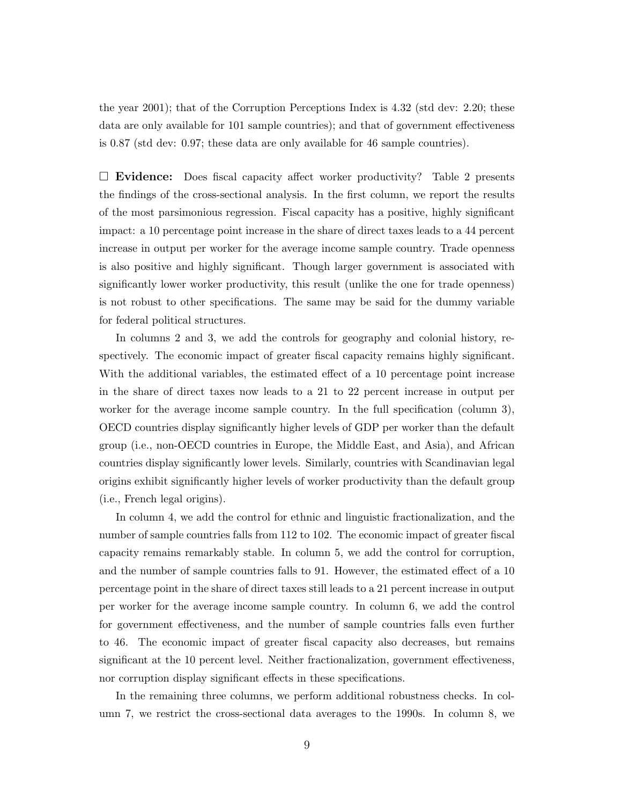the year 2001); that of the Corruption Perceptions Index is 4.32 (std dev: 2.20; these data are only available for 101 sample countries); and that of government effectiveness is 0.87 (std dev: 0.97; these data are only available for 46 sample countries).

 $\square$  Evidence: Does fiscal capacity affect worker productivity? Table 2 presents the findings of the cross-sectional analysis. In the first column, we report the results of the most parsimonious regression. Fiscal capacity has a positive, highly significant impact: a 10 percentage point increase in the share of direct taxes leads to a 44 percent increase in output per worker for the average income sample country. Trade openness is also positive and highly significant. Though larger government is associated with significantly lower worker productivity, this result (unlike the one for trade openness) is not robust to other specifications. The same may be said for the dummy variable for federal political structures.

In columns 2 and 3, we add the controls for geography and colonial history, respectively. The economic impact of greater fiscal capacity remains highly significant. With the additional variables, the estimated effect of a 10 percentage point increase in the share of direct taxes now leads to a 21 to 22 percent increase in output per worker for the average income sample country. In the full specification (column 3), OECD countries display significantly higher levels of GDP per worker than the default group (i.e., non-OECD countries in Europe, the Middle East, and Asia), and African countries display significantly lower levels. Similarly, countries with Scandinavian legal origins exhibit significantly higher levels of worker productivity than the default group (i.e., French legal origins).

In column 4, we add the control for ethnic and linguistic fractionalization, and the number of sample countries falls from 112 to 102. The economic impact of greater fiscal capacity remains remarkably stable. In column 5, we add the control for corruption, and the number of sample countries falls to 91. However, the estimated effect of a 10 percentage point in the share of direct taxes still leads to a 21 percent increase in output per worker for the average income sample country. In column 6, we add the control for government effectiveness, and the number of sample countries falls even further to 46. The economic impact of greater fiscal capacity also decreases, but remains significant at the 10 percent level. Neither fractionalization, government effectiveness, nor corruption display significant effects in these specifications.

In the remaining three columns, we perform additional robustness checks. In column 7, we restrict the cross-sectional data averages to the 1990s. In column 8, we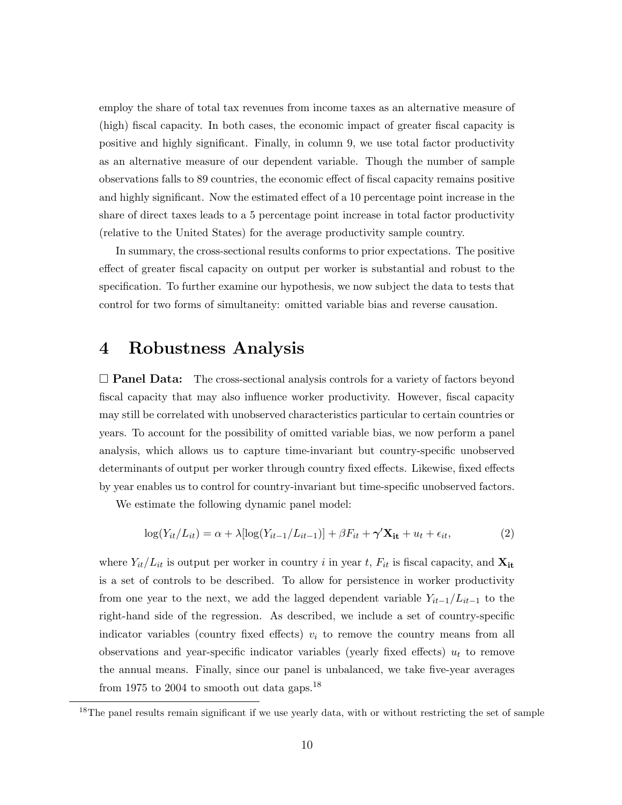employ the share of total tax revenues from income taxes as an alternative measure of (high) fiscal capacity. In both cases, the economic impact of greater fiscal capacity is positive and highly significant. Finally, in column 9, we use total factor productivity as an alternative measure of our dependent variable. Though the number of sample observations falls to 89 countries, the economic effect of fiscal capacity remains positive and highly significant. Now the estimated effect of a 10 percentage point increase in the share of direct taxes leads to a 5 percentage point increase in total factor productivity (relative to the United States) for the average productivity sample country.

In summary, the cross-sectional results conforms to prior expectations. The positive effect of greater fiscal capacity on output per worker is substantial and robust to the specification. To further examine our hypothesis, we now subject the data to tests that control for two forms of simultaneity: omitted variable bias and reverse causation.

#### <span id="page-9-0"></span>4 Robustness Analysis

 $\Box$  **Panel Data:** The cross-sectional analysis controls for a variety of factors beyond fiscal capacity that may also influence worker productivity. However, fiscal capacity may still be correlated with unobserved characteristics particular to certain countries or years. To account for the possibility of omitted variable bias, we now perform a panel analysis, which allows us to capture time-invariant but country-specific unobserved determinants of output per worker through country fixed effects. Likewise, fixed effects by year enables us to control for country-invariant but time-specific unobserved factors.

We estimate the following dynamic panel model:

$$
\log(Y_{it}/L_{it}) = \alpha + \lambda [\log(Y_{it-1}/L_{it-1})] + \beta F_{it} + \gamma' \mathbf{X}_{it} + u_t + \epsilon_{it},
$$
\n(2)

where  $Y_{it}/L_{it}$  is output per worker in country i in year t,  $F_{it}$  is fiscal capacity, and  $\mathbf{X_{it}}$ is a set of controls to be described. To allow for persistence in worker productivity from one year to the next, we add the lagged dependent variable  $Y_{it-1}/L_{it-1}$  to the right-hand side of the regression. As described, we include a set of country-specific indicator variables (country fixed effects)  $v_i$  to remove the country means from all observations and year-specific indicator variables (yearly fixed effects)  $u_t$  to remove the annual means. Finally, since our panel is unbalanced, we take five-year averages from 1975 to 2004 to smooth out data gaps.<sup>18</sup>

<sup>&</sup>lt;sup>18</sup>The panel results remain significant if we use yearly data, with or without restricting the set of sample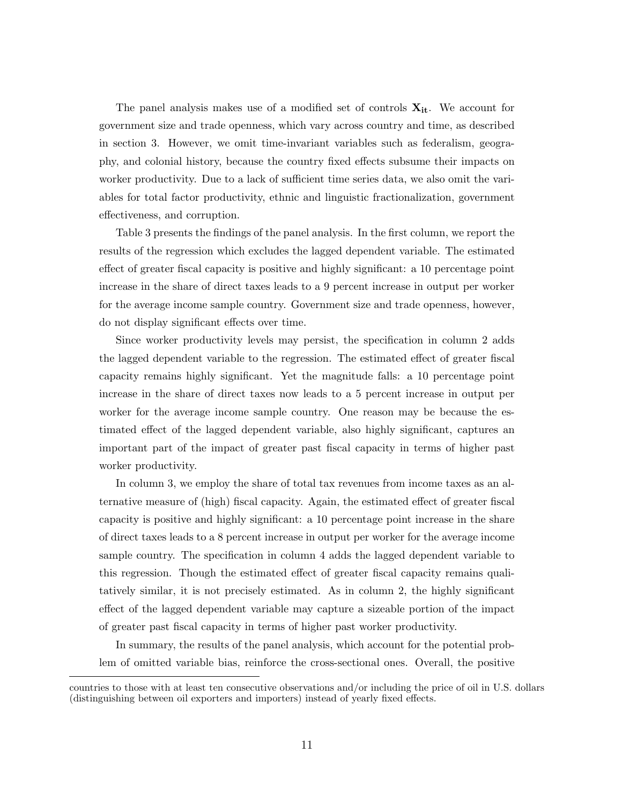The panel analysis makes use of a modified set of controls  $X_{it}$ . We account for government size and trade openness, which vary across country and time, as described in section [3.](#page-5-0) However, we omit time-invariant variables such as federalism, geography, and colonial history, because the country fixed effects subsume their impacts on worker productivity. Due to a lack of sufficient time series data, we also omit the variables for total factor productivity, ethnic and linguistic fractionalization, government effectiveness, and corruption.

Table 3 presents the findings of the panel analysis. In the first column, we report the results of the regression which excludes the lagged dependent variable. The estimated effect of greater fiscal capacity is positive and highly significant: a 10 percentage point increase in the share of direct taxes leads to a 9 percent increase in output per worker for the average income sample country. Government size and trade openness, however, do not display significant effects over time.

Since worker productivity levels may persist, the specification in column 2 adds the lagged dependent variable to the regression. The estimated effect of greater fiscal capacity remains highly significant. Yet the magnitude falls: a 10 percentage point increase in the share of direct taxes now leads to a 5 percent increase in output per worker for the average income sample country. One reason may be because the estimated effect of the lagged dependent variable, also highly significant, captures an important part of the impact of greater past fiscal capacity in terms of higher past worker productivity.

In column 3, we employ the share of total tax revenues from income taxes as an alternative measure of (high) fiscal capacity. Again, the estimated effect of greater fiscal capacity is positive and highly significant: a 10 percentage point increase in the share of direct taxes leads to a 8 percent increase in output per worker for the average income sample country. The specification in column 4 adds the lagged dependent variable to this regression. Though the estimated effect of greater fiscal capacity remains qualitatively similar, it is not precisely estimated. As in column 2, the highly significant effect of the lagged dependent variable may capture a sizeable portion of the impact of greater past fiscal capacity in terms of higher past worker productivity.

In summary, the results of the panel analysis, which account for the potential problem of omitted variable bias, reinforce the cross-sectional ones. Overall, the positive

countries to those with at least ten consecutive observations and/or including the price of oil in U.S. dollars (distinguishing between oil exporters and importers) instead of yearly fixed effects.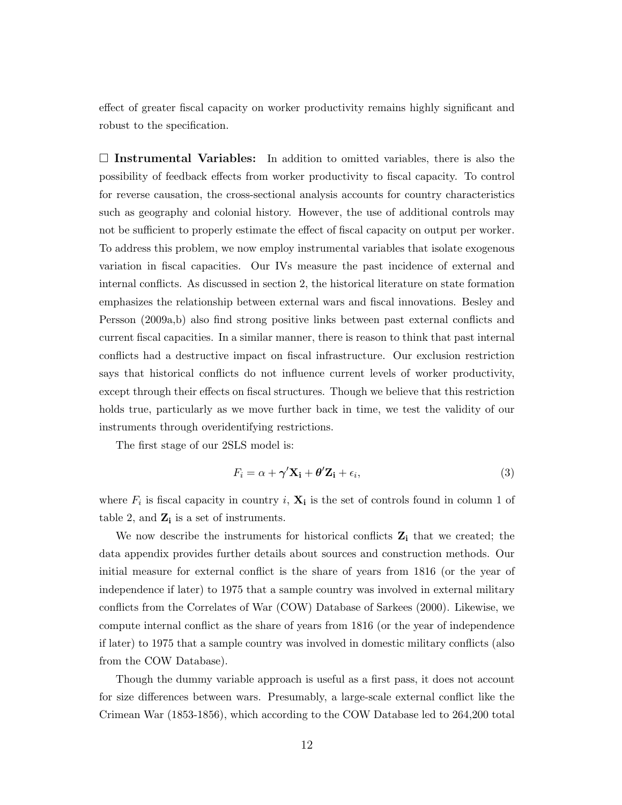effect of greater fiscal capacity on worker productivity remains highly significant and robust to the specification.

 $\Box$  Instrumental Variables: In addition to omitted variables, there is also the possibility of feedback effects from worker productivity to fiscal capacity. To control for reverse causation, the cross-sectional analysis accounts for country characteristics such as geography and colonial history. However, the use of additional controls may not be sufficient to properly estimate the effect of fiscal capacity on output per worker. To address this problem, we now employ instrumental variables that isolate exogenous variation in fiscal capacities. Our IVs measure the past incidence of external and internal conflicts. As discussed in section [2,](#page-3-0) the historical literature on state formation emphasizes the relationship between external wars and fiscal innovations. [Besley and](#page-20-3) [Persson](#page-20-3) [\(2009a,](#page-20-3)[b\)](#page-21-3) also find strong positive links between past external conflicts and current fiscal capacities. In a similar manner, there is reason to think that past internal conflicts had a destructive impact on fiscal infrastructure. Our exclusion restriction says that historical conflicts do not influence current levels of worker productivity, except through their effects on fiscal structures. Though we believe that this restriction holds true, particularly as we move further back in time, we test the validity of our instruments through overidentifying restrictions.

The first stage of our 2SLS model is:

$$
F_i = \alpha + \gamma' \mathbf{X_i} + \theta' \mathbf{Z_i} + \epsilon_i,
$$
\n(3)

where  $F_i$  is fiscal capacity in country i,  $\mathbf{X}_i$  is the set of controls found in column 1 of table 2, and  $\mathbf{Z_i}$  is a set of instruments.

We now describe the instruments for historical conflicts  $Z_i$  that we created; the data appendix provides further details about sources and construction methods. Our initial measure for external conflict is the share of years from 1816 (or the year of independence if later) to 1975 that a sample country was involved in external military conflicts from the Correlates of War (COW) Database of Sarkees (2000). Likewise, we compute internal conflict as the share of years from 1816 (or the year of independence if later) to 1975 that a sample country was involved in domestic military conflicts (also from the COW Database).

Though the dummy variable approach is useful as a first pass, it does not account for size differences between wars. Presumably, a large-scale external conflict like the Crimean War (1853-1856), which according to the COW Database led to 264,200 total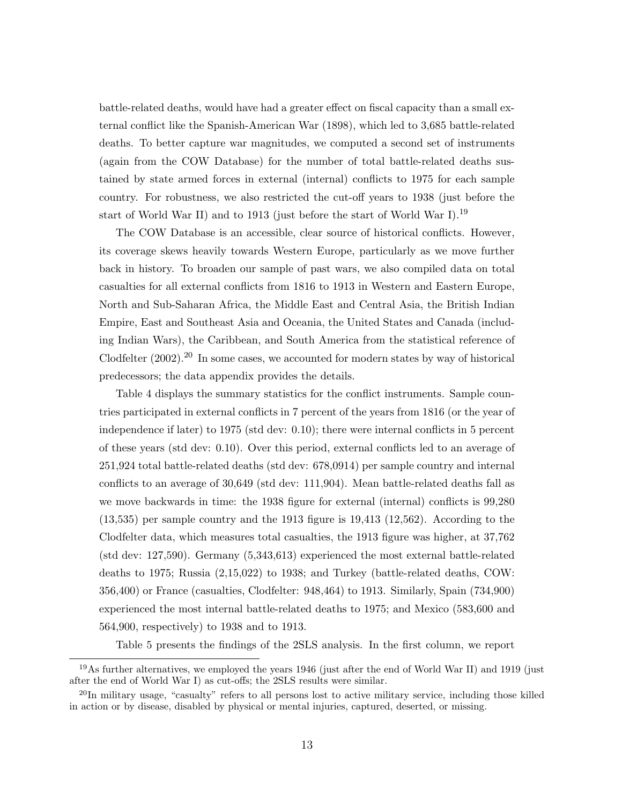battle-related deaths, would have had a greater effect on fiscal capacity than a small external conflict like the Spanish-American War (1898), which led to 3,685 battle-related deaths. To better capture war magnitudes, we computed a second set of instruments (again from the COW Database) for the number of total battle-related deaths sustained by state armed forces in external (internal) conflicts to 1975 for each sample country. For robustness, we also restricted the cut-off years to 1938 (just before the start of World War II) and to 1913 (just before the start of World War I).<sup>19</sup>

The COW Database is an accessible, clear source of historical conflicts. However, its coverage skews heavily towards Western Europe, particularly as we move further back in history. To broaden our sample of past wars, we also compiled data on total casualties for all external conflicts from 1816 to 1913 in Western and Eastern Europe, North and Sub-Saharan Africa, the Middle East and Central Asia, the British Indian Empire, East and Southeast Asia and Oceania, the United States and Canada (including Indian Wars), the Caribbean, and South America from the statistical reference of [Clodfelter](#page-21-11)  $(2002)$ .<sup>20</sup> In some cases, we accounted for modern states by way of historical predecessors; the data appendix provides the details.

Table 4 displays the summary statistics for the conflict instruments. Sample countries participated in external conflicts in 7 percent of the years from 1816 (or the year of independence if later) to 1975 (std dev: 0.10); there were internal conflicts in 5 percent of these years (std dev: 0.10). Over this period, external conflicts led to an average of 251,924 total battle-related deaths (std dev: 678,0914) per sample country and internal conflicts to an average of 30,649 (std dev: 111,904). Mean battle-related deaths fall as we move backwards in time: the 1938 figure for external (internal) conflicts is 99,280 (13,535) per sample country and the 1913 figure is 19,413 (12,562). According to the Clodfelter data, which measures total casualties, the 1913 figure was higher, at 37,762 (std dev: 127,590). Germany (5,343,613) experienced the most external battle-related deaths to 1975; Russia (2,15,022) to 1938; and Turkey (battle-related deaths, COW: 356,400) or France (casualties, Clodfelter: 948,464) to 1913. Similarly, Spain (734,900) experienced the most internal battle-related deaths to 1975; and Mexico (583,600 and 564,900, respectively) to 1938 and to 1913.

Table 5 presents the findings of the 2SLS analysis. In the first column, we report

<sup>&</sup>lt;sup>19</sup>As further alternatives, we employed the years 1946 (just after the end of World War II) and 1919 (just after the end of World War I) as cut-offs; the 2SLS results were similar.

<sup>&</sup>lt;sup>20</sup>In military usage, "casualty" refers to all persons lost to active military service, including those killed in action or by disease, disabled by physical or mental injuries, captured, deserted, or missing.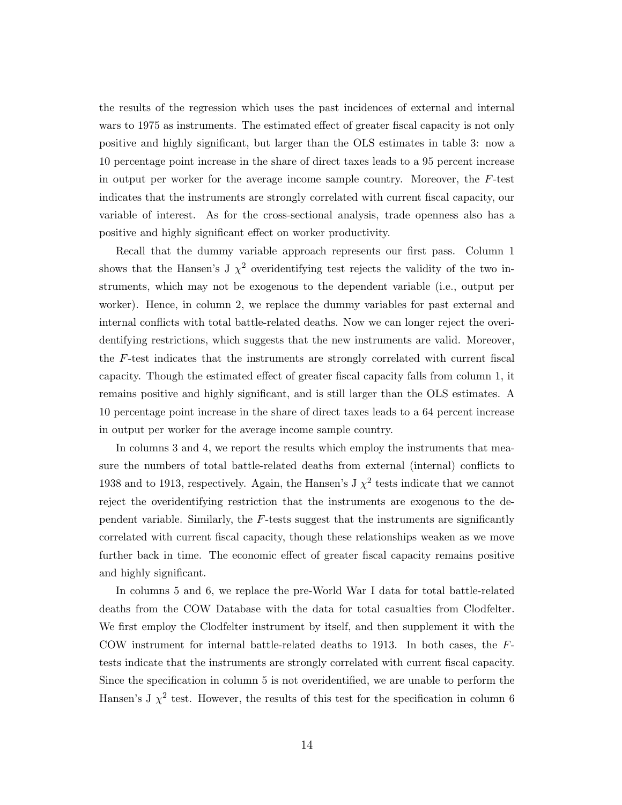the results of the regression which uses the past incidences of external and internal wars to 1975 as instruments. The estimated effect of greater fiscal capacity is not only positive and highly significant, but larger than the OLS estimates in table 3: now a 10 percentage point increase in the share of direct taxes leads to a 95 percent increase in output per worker for the average income sample country. Moreover, the F-test indicates that the instruments are strongly correlated with current fiscal capacity, our variable of interest. As for the cross-sectional analysis, trade openness also has a positive and highly significant effect on worker productivity.

Recall that the dummy variable approach represents our first pass. Column 1 shows that the Hansen's J  $\chi^2$  overidentifying test rejects the validity of the two instruments, which may not be exogenous to the dependent variable (i.e., output per worker). Hence, in column 2, we replace the dummy variables for past external and internal conflicts with total battle-related deaths. Now we can longer reject the overidentifying restrictions, which suggests that the new instruments are valid. Moreover, the F-test indicates that the instruments are strongly correlated with current fiscal capacity. Though the estimated effect of greater fiscal capacity falls from column 1, it remains positive and highly significant, and is still larger than the OLS estimates. A 10 percentage point increase in the share of direct taxes leads to a 64 percent increase in output per worker for the average income sample country.

In columns 3 and 4, we report the results which employ the instruments that measure the numbers of total battle-related deaths from external (internal) conflicts to 1938 and to 1913, respectively. Again, the Hansen's J  $\chi^2$  tests indicate that we cannot reject the overidentifying restriction that the instruments are exogenous to the dependent variable. Similarly, the F-tests suggest that the instruments are significantly correlated with current fiscal capacity, though these relationships weaken as we move further back in time. The economic effect of greater fiscal capacity remains positive and highly significant.

In columns 5 and 6, we replace the pre-World War I data for total battle-related deaths from the COW Database with the data for total casualties from Clodfelter. We first employ the Clodfelter instrument by itself, and then supplement it with the COW instrument for internal battle-related deaths to 1913. In both cases, the Ftests indicate that the instruments are strongly correlated with current fiscal capacity. Since the specification in column 5 is not overidentified, we are unable to perform the Hansen's J  $\chi^2$  test. However, the results of this test for the specification in column 6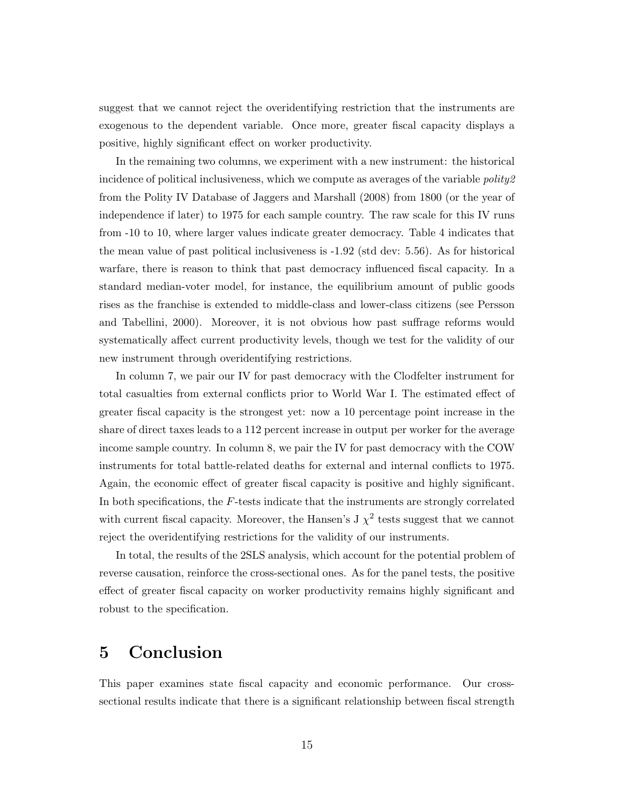suggest that we cannot reject the overidentifying restriction that the instruments are exogenous to the dependent variable. Once more, greater fiscal capacity displays a positive, highly significant effect on worker productivity.

In the remaining two columns, we experiment with a new instrument: the historical incidence of political inclusiveness, which we compute as averages of the variable  $\text{poly2}$ from the Polity IV Database of Jaggers and Marshall (2008) from 1800 (or the year of independence if later) to 1975 for each sample country. The raw scale for this IV runs from -10 to 10, where larger values indicate greater democracy. Table 4 indicates that the mean value of past political inclusiveness is -1.92 (std dev: 5.56). As for historical warfare, there is reason to think that past democracy influenced fiscal capacity. In a standard median-voter model, for instance, the equilibrium amount of public goods rises as the franchise is extended to middle-class and lower-class citizens (see [Persson](#page-23-7) [and Tabellini,](#page-23-7) [2000\)](#page-23-7). Moreover, it is not obvious how past suffrage reforms would systematically affect current productivity levels, though we test for the validity of our new instrument through overidentifying restrictions.

In column 7, we pair our IV for past democracy with the Clodfelter instrument for total casualties from external conflicts prior to World War I. The estimated effect of greater fiscal capacity is the strongest yet: now a 10 percentage point increase in the share of direct taxes leads to a 112 percent increase in output per worker for the average income sample country. In column 8, we pair the IV for past democracy with the COW instruments for total battle-related deaths for external and internal conflicts to 1975. Again, the economic effect of greater fiscal capacity is positive and highly significant. In both specifications, the  $F$ -tests indicate that the instruments are strongly correlated with current fiscal capacity. Moreover, the Hansen's J  $\chi^2$  tests suggest that we cannot reject the overidentifying restrictions for the validity of our instruments.

In total, the results of the 2SLS analysis, which account for the potential problem of reverse causation, reinforce the cross-sectional ones. As for the panel tests, the positive effect of greater fiscal capacity on worker productivity remains highly significant and robust to the specification.

## <span id="page-14-0"></span>5 Conclusion

This paper examines state fiscal capacity and economic performance. Our crosssectional results indicate that there is a significant relationship between fiscal strength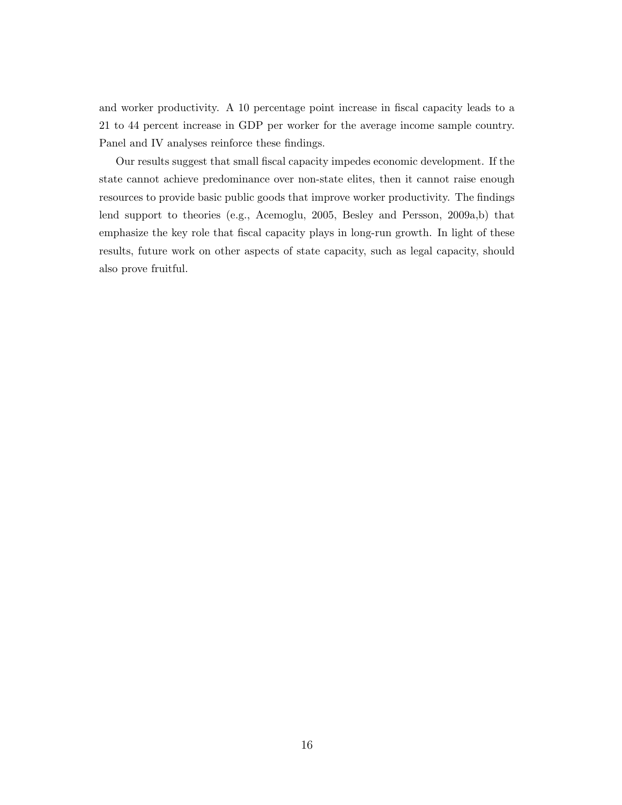and worker productivity. A 10 percentage point increase in fiscal capacity leads to a 21 to 44 percent increase in GDP per worker for the average income sample country. Panel and IV analyses reinforce these findings.

Our results suggest that small fiscal capacity impedes economic development. If the state cannot achieve predominance over non-state elites, then it cannot raise enough resources to provide basic public goods that improve worker productivity. The findings lend support to theories (e.g., [Acemoglu,](#page-20-2) [2005,](#page-20-2) [Besley and Persson,](#page-20-3) [2009a,](#page-20-3)[b\)](#page-21-3) that emphasize the key role that fiscal capacity plays in long-run growth. In light of these results, future work on other aspects of state capacity, such as legal capacity, should also prove fruitful.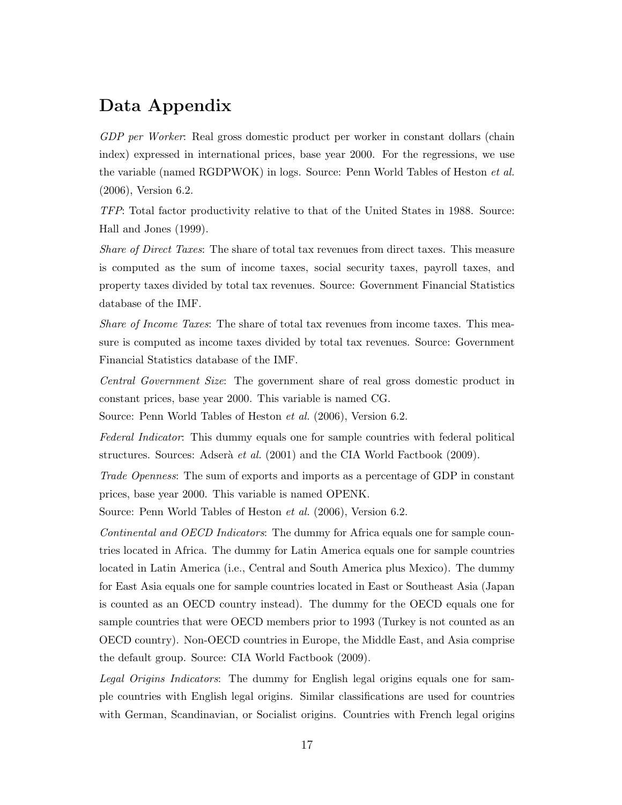## Data Appendix

GDP per Worker: Real gross domestic product per worker in constant dollars (chain index) expressed in international prices, base year 2000. For the regressions, we use the variable (named RGDPWOK) in logs. Source: [Penn World Tables of Heston](#page-21-9) *et al.* [\(2006\)](#page-21-9), Version 6.2.

TFP: Total factor productivity relative to that of the United States in 1988. Source: [Hall and Jones](#page-21-2) [\(1999\)](#page-21-2).

Share of Direct Taxes: The share of total tax revenues from direct taxes. This measure is computed as the sum of income taxes, social security taxes, payroll taxes, and property taxes divided by total tax revenues. Source: Government Financial Statistics database of the IMF.

Share of Income Taxes: The share of total tax revenues from income taxes. This measure is computed as income taxes divided by total tax revenues. Source: Government Financial Statistics database of the IMF.

Central Government Size: The government share of real gross domestic product in constant prices, base year 2000. This variable is named CG.

Source: [Penn World Tables of Heston](#page-21-9) et al. [\(2006\)](#page-21-9), Version 6.2.

Federal Indicator: This dummy equals one for sample countries with federal political structures. Sources: Adserà *et al.* [\(2001\)](#page-20-8) and the [CIA World Factbook](#page-21-10) [\(2009\)](#page-21-10).

Trade Openness: The sum of exports and imports as a percentage of GDP in constant prices, base year 2000. This variable is named OPENK.

Source: [Penn World Tables of Heston](#page-21-9) et al. [\(2006\)](#page-21-9), Version 6.2.

Continental and OECD Indicators: The dummy for Africa equals one for sample countries located in Africa. The dummy for Latin America equals one for sample countries located in Latin America (i.e., Central and South America plus Mexico). The dummy for East Asia equals one for sample countries located in East or Southeast Asia (Japan is counted as an OECD country instead). The dummy for the OECD equals one for sample countries that were OECD members prior to 1993 (Turkey is not counted as an OECD country). Non-OECD countries in Europe, the Middle East, and Asia comprise the default group. Source: [CIA World Factbook](#page-21-10) [\(2009\)](#page-21-10).

Legal Origins Indicators: The dummy for English legal origins equals one for sample countries with English legal origins. Similar classifications are used for countries with German, Scandinavian, or Socialist origins. Countries with French legal origins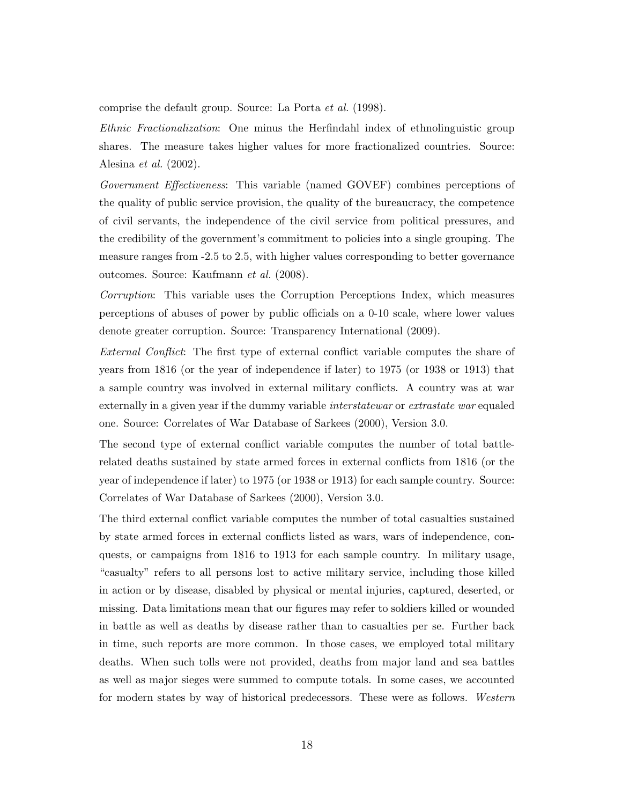comprise the default group. Source: [La Porta](#page-22-10) et al. [\(1998\)](#page-22-10).

Ethnic Fractionalization: One minus the Herfindahl index of ethnolinguistic group shares. The measure takes higher values for more fractionalized countries. Source: [Alesina](#page-20-9) et al. [\(2002\)](#page-20-9).

Government Effectiveness: This variable (named GOVEF) combines perceptions of the quality of public service provision, the quality of the bureaucracy, the competence of civil servants, the independence of the civil service from political pressures, and the credibility of the government's commitment to policies into a single grouping. The measure ranges from -2.5 to 2.5, with higher values corresponding to better governance outcomes. Source: [Kaufmann](#page-22-11) et al. [\(2008\)](#page-22-11).

Corruption: This variable uses the Corruption Perceptions Index, which measures perceptions of abuses of power by public officials on a 0-10 scale, where lower values denote greater corruption. Source: [Transparency International](#page-23-5) [\(2009\)](#page-23-5).

External Conflict: The first type of external conflict variable computes the share of years from 1816 (or the year of independence if later) to 1975 (or 1938 or 1913) that a sample country was involved in external military conflicts. A country was at war externally in a given year if the dummy variable *interstatewar* or *extrastate war* equaled one. Source: [Correlates of War Database of Sarkees](#page-23-8) [\(2000\)](#page-23-8), Version 3.0.

The second type of external conflict variable computes the number of total battlerelated deaths sustained by state armed forces in external conflicts from 1816 (or the year of independence if later) to 1975 (or 1938 or 1913) for each sample country. Source: [Correlates of War Database of Sarkees](#page-23-8) [\(2000\)](#page-23-8), Version 3.0.

The third external conflict variable computes the number of total casualties sustained by state armed forces in external conflicts listed as wars, wars of independence, conquests, or campaigns from 1816 to 1913 for each sample country. In military usage, "casualty" refers to all persons lost to active military service, including those killed in action or by disease, disabled by physical or mental injuries, captured, deserted, or missing. Data limitations mean that our figures may refer to soldiers killed or wounded in battle as well as deaths by disease rather than to casualties per se. Further back in time, such reports are more common. In those cases, we employed total military deaths. When such tolls were not provided, deaths from major land and sea battles as well as major sieges were summed to compute totals. In some cases, we accounted for modern states by way of historical predecessors. These were as follows. Western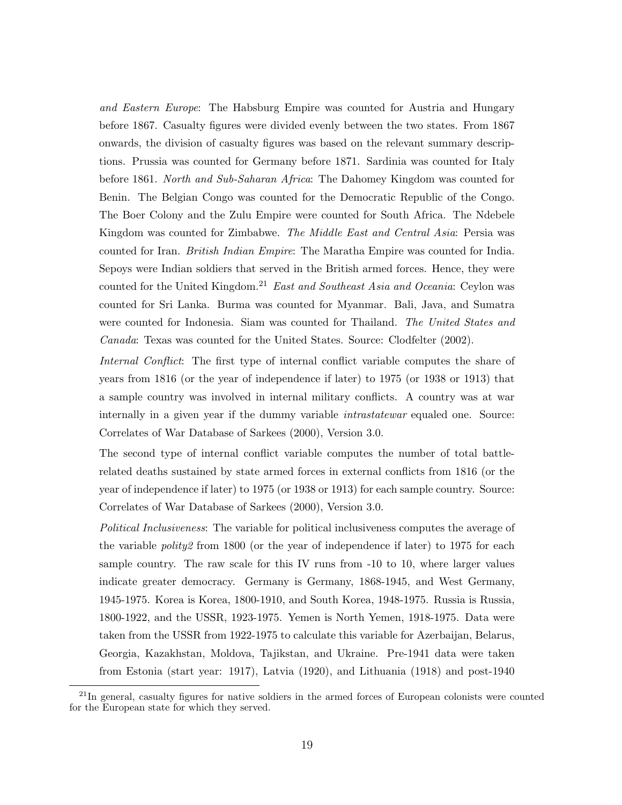and Eastern Europe: The Habsburg Empire was counted for Austria and Hungary before 1867. Casualty figures were divided evenly between the two states. From 1867 onwards, the division of casualty figures was based on the relevant summary descriptions. Prussia was counted for Germany before 1871. Sardinia was counted for Italy before 1861. North and Sub-Saharan Africa: The Dahomey Kingdom was counted for Benin. The Belgian Congo was counted for the Democratic Republic of the Congo. The Boer Colony and the Zulu Empire were counted for South Africa. The Ndebele Kingdom was counted for Zimbabwe. The Middle East and Central Asia: Persia was counted for Iran. British Indian Empire: The Maratha Empire was counted for India. Sepoys were Indian soldiers that served in the British armed forces. Hence, they were counted for the United Kingdom.<sup>21</sup> East and Southeast Asia and Oceania: Ceylon was counted for Sri Lanka. Burma was counted for Myanmar. Bali, Java, and Sumatra were counted for Indonesia. Siam was counted for Thailand. The United States and Canada: Texas was counted for the United States. Source: [Clodfelter](#page-21-11) [\(2002\)](#page-21-11).

Internal Conflict: The first type of internal conflict variable computes the share of years from 1816 (or the year of independence if later) to 1975 (or 1938 or 1913) that a sample country was involved in internal military conflicts. A country was at war internally in a given year if the dummy variable *intrastatewar* equaled one. Source: [Correlates of War Database of Sarkees](#page-23-8) [\(2000\)](#page-23-8), Version 3.0.

The second type of internal conflict variable computes the number of total battlerelated deaths sustained by state armed forces in external conflicts from 1816 (or the year of independence if later) to 1975 (or 1938 or 1913) for each sample country. Source: [Correlates of War Database of Sarkees](#page-23-8) [\(2000\)](#page-23-8), Version 3.0.

Political Inclusiveness: The variable for political inclusiveness computes the average of the variable *polity2* from 1800 (or the year of independence if later) to 1975 for each sample country. The raw scale for this IV runs from -10 to 10, where larger values indicate greater democracy. Germany is Germany, 1868-1945, and West Germany, 1945-1975. Korea is Korea, 1800-1910, and South Korea, 1948-1975. Russia is Russia, 1800-1922, and the USSR, 1923-1975. Yemen is North Yemen, 1918-1975. Data were taken from the USSR from 1922-1975 to calculate this variable for Azerbaijan, Belarus, Georgia, Kazakhstan, Moldova, Tajikstan, and Ukraine. Pre-1941 data were taken from Estonia (start year: 1917), Latvia (1920), and Lithuania (1918) and post-1940

<sup>&</sup>lt;sup>21</sup>In general, casualty figures for native soldiers in the armed forces of European colonists were counted for the European state for which they served.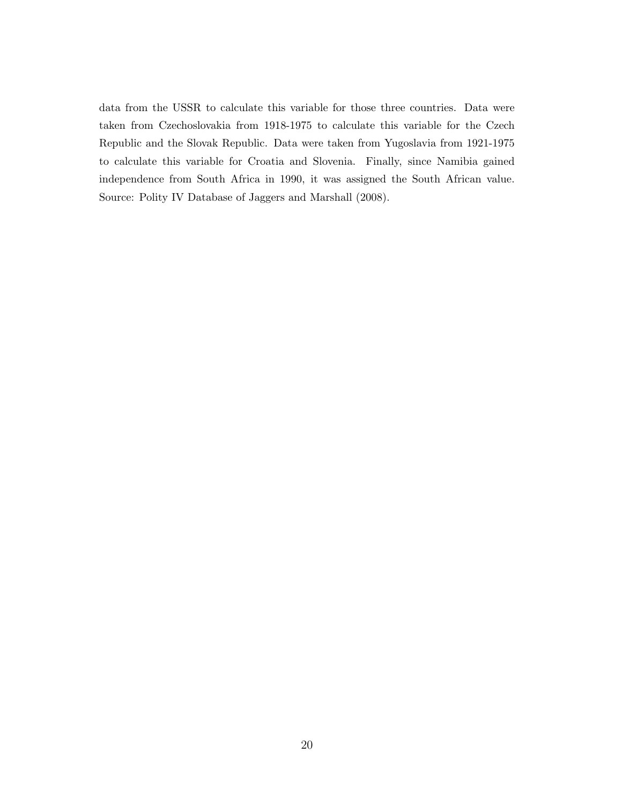data from the USSR to calculate this variable for those three countries. Data were taken from Czechoslovakia from 1918-1975 to calculate this variable for the Czech Republic and the Slovak Republic. Data were taken from Yugoslavia from 1921-1975 to calculate this variable for Croatia and Slovenia. Finally, since Namibia gained independence from South Africa in 1990, it was assigned the South African value. Source: [Polity IV Database of Jaggers and Marshall](#page-22-12) [\(2008\)](#page-22-12).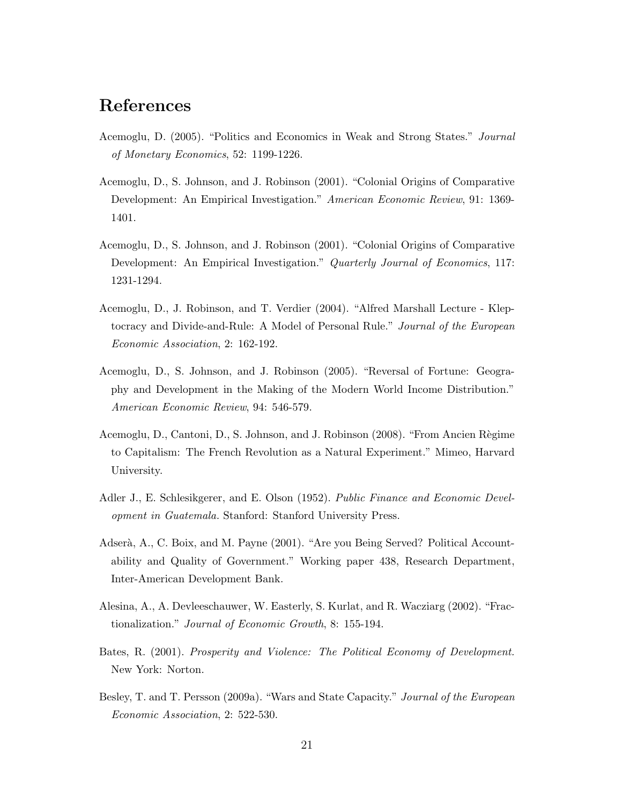## References

- <span id="page-20-2"></span>Acemoglu, D. (2005). "Politics and Economics in Weak and Strong States." Journal of Monetary Economics, 52: 1199-1226.
- <span id="page-20-4"></span>Acemoglu, D., S. Johnson, and J. Robinson (2001). "Colonial Origins of Comparative Development: An Empirical Investigation." American Economic Review, 91: 1369- 1401.
- <span id="page-20-5"></span>Acemoglu, D., S. Johnson, and J. Robinson (2001). "Colonial Origins of Comparative Development: An Empirical Investigation." Quarterly Journal of Economics, 117: 1231-1294.
- <span id="page-20-1"></span>Acemoglu, D., J. Robinson, and T. Verdier (2004). "Alfred Marshall Lecture - Kleptocracy and Divide-and-Rule: A Model of Personal Rule." Journal of the European Economic Association, 2: 162-192.
- <span id="page-20-6"></span>Acemoglu, D., S. Johnson, and J. Robinson (2005). "Reversal of Fortune: Geography and Development in the Making of the Modern World Income Distribution." American Economic Review, 94: 546-579.
- <span id="page-20-7"></span>Acemoglu, D., Cantoni, D., S. Johnson, and J. Robinson (2008). "From Ancien Règime to Capitalism: The French Revolution as a Natural Experiment." Mimeo, Harvard University.
- Adler J., E. Schlesikgerer, and E. Olson (1952). Public Finance and Economic Development in Guatemala. Stanford: Stanford University Press.
- <span id="page-20-8"></span>Adserà, A., C. Boix, and M. Payne (2001). "Are you Being Served? Political Accountability and Quality of Government." Working paper 438, Research Department, Inter-American Development Bank.
- <span id="page-20-9"></span>Alesina, A., A. Devleeschauwer, W. Easterly, S. Kurlat, and R. Wacziarg (2002). "Fractionalization." Journal of Economic Growth, 8: 155-194.
- <span id="page-20-0"></span>Bates, R. (2001). Prosperity and Violence: The Political Economy of Development. New York: Norton.
- <span id="page-20-3"></span>Besley, T. and T. Persson (2009a). "Wars and State Capacity." Journal of the European Economic Association, 2: 522-530.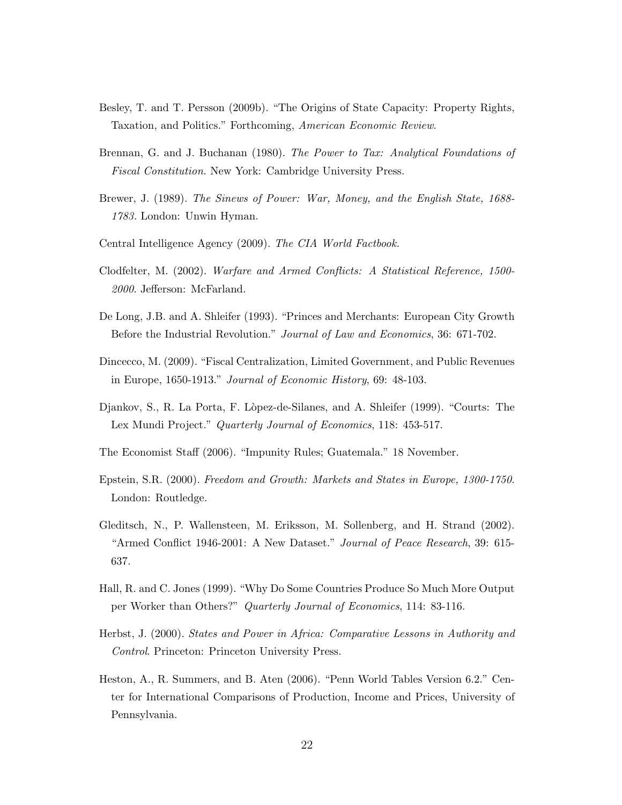- <span id="page-21-3"></span>Besley, T. and T. Persson (2009b). "The Origins of State Capacity: Property Rights, Taxation, and Politics." Forthcoming, American Economic Review.
- <span id="page-21-4"></span>Brennan, G. and J. Buchanan (1980). The Power to Tax: Analytical Foundations of Fiscal Constitution. New York: Cambridge University Press.
- <span id="page-21-6"></span>Brewer, J. (1989). The Sinews of Power: War, Money, and the English State, 1688- 1783. London: Unwin Hyman.
- <span id="page-21-10"></span>Central Intelligence Agency (2009). The CIA World Factbook.
- <span id="page-21-11"></span>Clodfelter, M. (2002). Warfare and Armed Conflicts: A Statistical Reference, 1500- 2000. Jefferson: McFarland.
- <span id="page-21-5"></span>De Long, J.B. and A. Shleifer (1993). "Princes and Merchants: European City Growth Before the Industrial Revolution." Journal of Law and Economics, 36: 671-702.
- <span id="page-21-8"></span>Dincecco, M. (2009). "Fiscal Centralization, Limited Government, and Public Revenues in Europe, 1650-1913." Journal of Economic History, 69: 48-103.
- Djankov, S., R. La Porta, F. Lòpez-de-Silanes, and A. Shleifer (1999). "Courts: The Lex Mundi Project." Quarterly Journal of Economics, 118: 453-517.
- <span id="page-21-0"></span>The Economist Staff (2006). "Impunity Rules; Guatemala." 18 November.
- <span id="page-21-7"></span>Epstein, S.R. (2000). Freedom and Growth: Markets and States in Europe, 1300-1750. London: Routledge.
- Gleditsch, N., P. Wallensteen, M. Eriksson, M. Sollenberg, and H. Strand (2002). "Armed Conflict 1946-2001: A New Dataset." Journal of Peace Research, 39: 615- 637.
- <span id="page-21-2"></span>Hall, R. and C. Jones (1999). "Why Do Some Countries Produce So Much More Output per Worker than Others?" Quarterly Journal of Economics, 114: 83-116.
- <span id="page-21-1"></span>Herbst, J. (2000). States and Power in Africa: Comparative Lessons in Authority and Control. Princeton: Princeton University Press.
- <span id="page-21-9"></span>Heston, A., R. Summers, and B. Aten (2006). "Penn World Tables Version 6.2." Center for International Comparisons of Production, Income and Prices, University of Pennsylvania.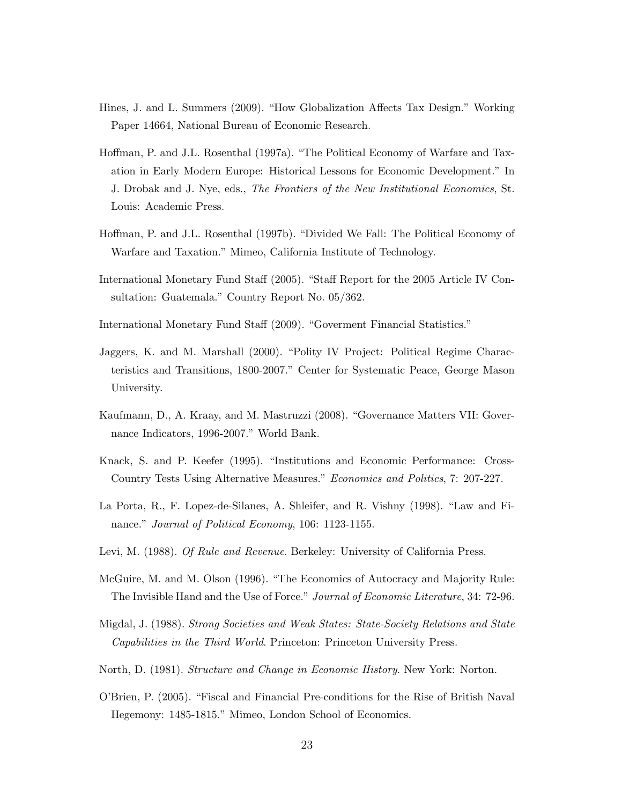- <span id="page-22-9"></span>Hines, J. and L. Summers (2009). "How Globalization Affects Tax Design." Working Paper 14664, National Bureau of Economic Research.
- <span id="page-22-6"></span>Hoffman, P. and J.L. Rosenthal (1997a). "The Political Economy of Warfare and Taxation in Early Modern Europe: Historical Lessons for Economic Development." In J. Drobak and J. Nye, eds., The Frontiers of the New Institutional Economics, St. Louis: Academic Press.
- <span id="page-22-7"></span>Hoffman, P. and J.L. Rosenthal (1997b). "Divided We Fall: The Political Economy of Warfare and Taxation." Mimeo, California Institute of Technology.
- <span id="page-22-0"></span>International Monetary Fund Staff (2005). "Staff Report for the 2005 Article IV Consultation: Guatemala." Country Report No. 05/362.
- International Monetary Fund Staff (2009). "Goverment Financial Statistics."
- <span id="page-22-12"></span>Jaggers, K. and M. Marshall (2000). "Polity IV Project: Political Regime Characteristics and Transitions, 1800-2007." Center for Systematic Peace, George Mason University.
- <span id="page-22-11"></span>Kaufmann, D., A. Kraay, and M. Mastruzzi (2008). "Governance Matters VII: Governance Indicators, 1996-2007." World Bank.
- <span id="page-22-5"></span>Knack, S. and P. Keefer (1995). "Institutions and Economic Performance: Cross-Country Tests Using Alternative Measures." Economics and Politics, 7: 207-227.
- <span id="page-22-10"></span>La Porta, R., F. Lopez-de-Silanes, A. Shleifer, and R. Vishny (1998). "Law and Finance." Journal of Political Economy, 106: 1123-1155.
- <span id="page-22-3"></span>Levi, M. (1988). Of Rule and Revenue. Berkeley: University of California Press.
- <span id="page-22-4"></span>McGuire, M. and M. Olson (1996). "The Economics of Autocracy and Majority Rule: The Invisible Hand and the Use of Force." Journal of Economic Literature, 34: 72-96.
- <span id="page-22-1"></span>Migdal, J. (1988). Strong Societies and Weak States: State-Society Relations and State Capabilities in the Third World. Princeton: Princeton University Press.
- <span id="page-22-2"></span>North, D. (1981). Structure and Change in Economic History. New York: Norton.
- <span id="page-22-8"></span>O'Brien, P. (2005). "Fiscal and Financial Pre-conditions for the Rise of British Naval Hegemony: 1485-1815." Mimeo, London School of Economics.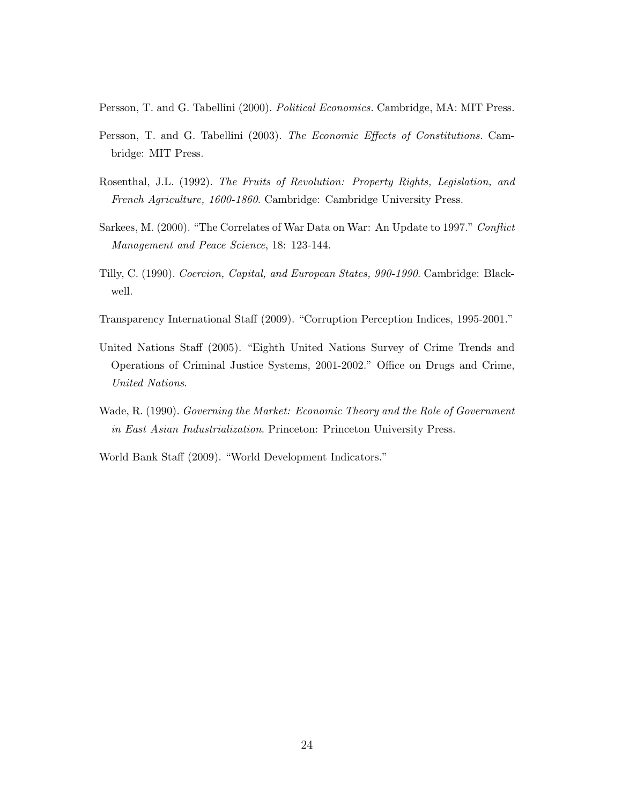<span id="page-23-7"></span>Persson, T. and G. Tabellini (2000). Political Economics. Cambridge, MA: MIT Press.

- <span id="page-23-4"></span>Persson, T. and G. Tabellini (2003). The Economic Effects of Constitutions. Cambridge: MIT Press.
- <span id="page-23-3"></span>Rosenthal, J.L. (1992). The Fruits of Revolution: Property Rights, Legislation, and French Agriculture, 1600-1860. Cambridge: Cambridge University Press.
- <span id="page-23-8"></span>Sarkees, M. (2000). "The Correlates of War Data on War: An Update to 1997." Conflict Management and Peace Science, 18: 123-144.
- <span id="page-23-2"></span>Tilly, C. (1990). Coercion, Capital, and European States, 990-1990. Cambridge: Blackwell.
- <span id="page-23-5"></span>Transparency International Staff (2009). "Corruption Perception Indices, 1995-2001."
- <span id="page-23-1"></span>United Nations Staff (2005). "Eighth United Nations Survey of Crime Trends and Operations of Criminal Justice Systems, 2001-2002." Office on Drugs and Crime, United Nations.
- <span id="page-23-0"></span>Wade, R. (1990). Governing the Market: Economic Theory and the Role of Government in East Asian Industrialization. Princeton: Princeton University Press.
- <span id="page-23-6"></span>World Bank Staff (2009). "World Development Indicators."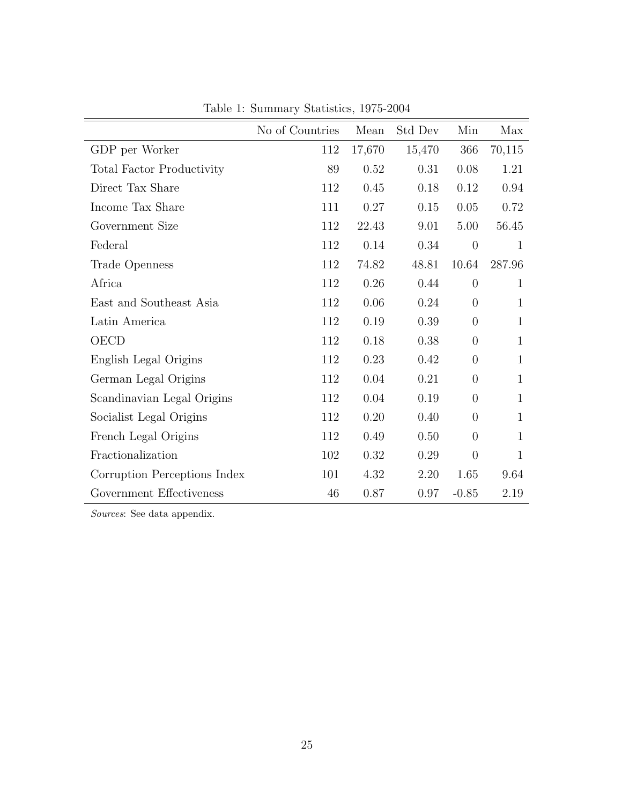|                                  | No of Countries | Mean   | Std Dev | Min              | Max          |
|----------------------------------|-----------------|--------|---------|------------------|--------------|
| GDP per Worker                   | 112             | 17,670 | 15,470  | 366              | 70,115       |
| <b>Total Factor Productivity</b> | 89              | 0.52   | 0.31    | 0.08             | 1.21         |
| Direct Tax Share                 | 112             | 0.45   | 0.18    | 0.12             | 0.94         |
| Income Tax Share                 | 111             | 0.27   | 0.15    | 0.05             | 0.72         |
| Government Size                  | 112             | 22.43  | 9.01    | 5.00             | 56.45        |
| Federal                          | 112             | 0.14   | 0.34    | $\boldsymbol{0}$ | $\mathbf{1}$ |
| Trade Openness                   | 112             | 74.82  | 48.81   | 10.64            | 287.96       |
| Africa                           | 112             | 0.26   | 0.44    | $\overline{0}$   | 1            |
| East and Southeast Asia          | 112             | 0.06   | 0.24    | $\overline{0}$   | 1            |
| Latin America                    | 112             | 0.19   | 0.39    | $\overline{0}$   | 1            |
| OECD                             | 112             | 0.18   | 0.38    | $\boldsymbol{0}$ | $\mathbf{1}$ |
| English Legal Origins            | 112             | 0.23   | 0.42    | $\overline{0}$   | $\mathbf{1}$ |
| German Legal Origins             | 112             | 0.04   | 0.21    | $\overline{0}$   | $\mathbf{1}$ |
| Scandinavian Legal Origins       | 112             | 0.04   | 0.19    | $\overline{0}$   | $\mathbf{1}$ |
| Socialist Legal Origins          | 112             | 0.20   | 0.40    | $\overline{0}$   | $\mathbf{1}$ |
| French Legal Origins             | 112             | 0.49   | 0.50    | $\overline{0}$   | 1            |
| Fractionalization                | 102             | 0.32   | 0.29    | $\overline{0}$   | $\mathbf{1}$ |
| Corruption Perceptions Index     | 101             | 4.32   | 2.20    | 1.65             | 9.64         |
| Government Effectiveness         | 46              | 0.87   | 0.97    | $-0.85$          | 2.19         |

Table 1: Summary Statistics, 1975-2004

Sources: See data appendix.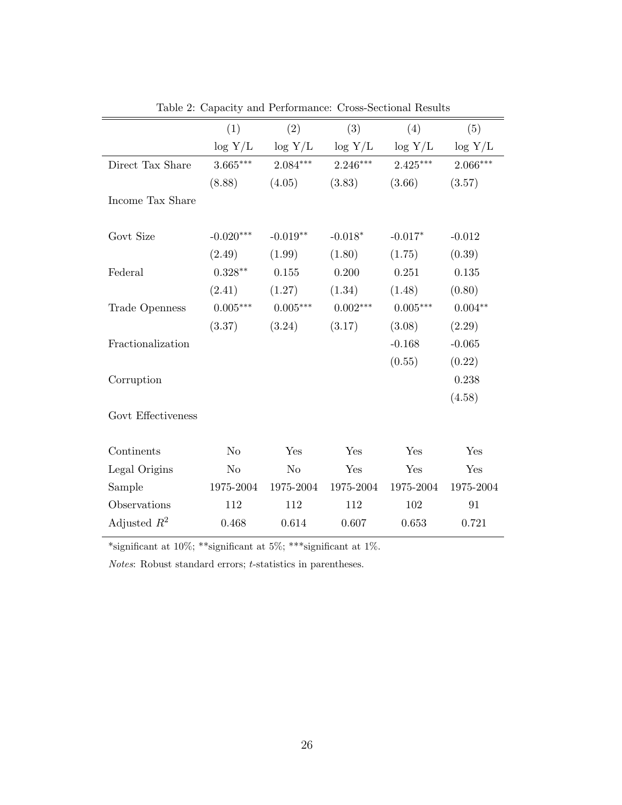|                    | (1)            | (2)            | (3)                   | (4)                   | (5)        |
|--------------------|----------------|----------------|-----------------------|-----------------------|------------|
|                    | $\log Y/L$     |                | $\log Y/L$ $\log Y/L$ | $\log Y/L$ $\log Y/L$ |            |
| Direct Tax Share   | $3.665***$     | $2.084***$     | $2.246***$            | $2.425***$            | $2.066***$ |
|                    | (8.88)         | (4.05)         | (3.83)                | (3.66)                | (3.57)     |
| Income Tax Share   |                |                |                       |                       |            |
|                    |                |                |                       |                       |            |
| Govt Size          | $-0.020***$    | $-0.019**$     | $-0.018*$             | $-0.017*$             | $-0.012$   |
|                    | (2.49)         | (1.99)         | (1.80)                | (1.75)                | (0.39)     |
| Federal            | $0.328***$     | 0.155          | 0.200                 | 0.251                 | 0.135      |
|                    | (2.41)         | (1.27)         | (1.34)                | (1.48)                | (0.80)     |
| Trade Openness     | $0.005***$     | $0.005***$     | $0.002***$            | $0.005***$            | $0.004**$  |
|                    | (3.37)         | (3.24)         | (3.17)                | (3.08)                | (2.29)     |
| Fractionalization  |                |                |                       | $-0.168$              | $-0.065$   |
|                    |                |                |                       | (0.55)                | (0.22)     |
| Corruption         |                |                |                       |                       | 0.238      |
|                    |                |                |                       |                       | (4.58)     |
| Govt Effectiveness |                |                |                       |                       |            |
|                    |                |                |                       |                       |            |
| Continents         | No             | Yes            | Yes                   | Yes                   | Yes        |
| Legal Origins      | N <sub>o</sub> | N <sub>o</sub> | Yes                   | Yes                   | Yes        |
| Sample             | 1975-2004      | 1975-2004      | 1975-2004             | 1975-2004             | 1975-2004  |
| Observations       | 112            | 112            | 112                   | 102                   | 91         |
| Adjusted $R^2$     | 0.468          | 0.614          | 0.607                 | 0.653                 | 0.721      |

Table 2: Capacity and Performance: Cross-Sectional Results

\*significant at 10%; \*\*significant at 5%; \*\*\*significant at 1%.

 $Notes:~Robust~standard~errors;~t-statistics~in~parents.$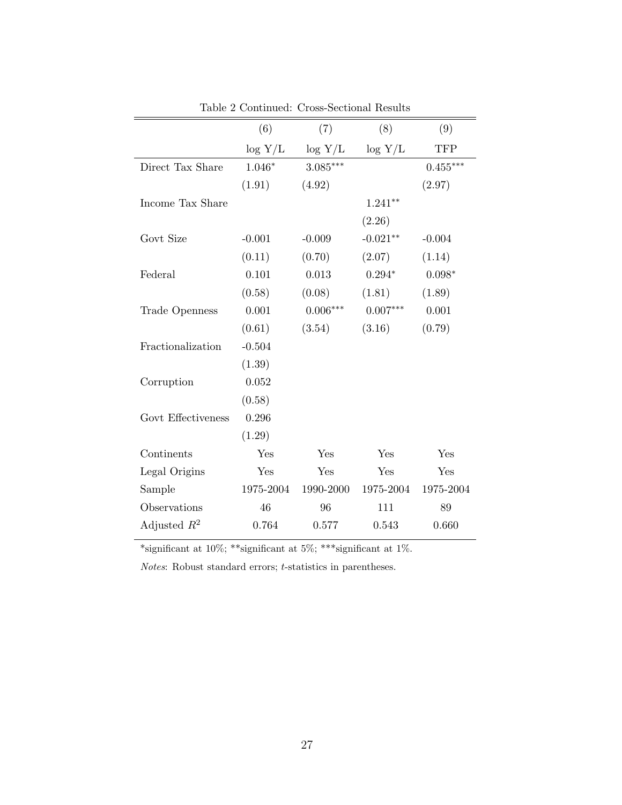|                    | (6)       | (7)        | (8)        | (9)        |
|--------------------|-----------|------------|------------|------------|
|                    | log Y/L   | $\log Y/L$ | log Y/L    | <b>TFP</b> |
| Direct Tax Share   | $1.046*$  | $3.085***$ |            | $0.455***$ |
|                    | (1.91)    | (4.92)     |            | (2.97)     |
| Income Tax Share   |           |            | $1.241**$  |            |
|                    |           |            | (2.26)     |            |
| Govt Size          | $-0.001$  | $-0.009$   | $-0.021**$ | $-0.004$   |
|                    | (0.11)    | (0.70)     | (2.07)     | (1.14)     |
| Federal            | 0.101     | 0.013      | $0.294*$   | $0.098*$   |
|                    | (0.58)    | (0.08)     | (1.81)     | (1.89)     |
| Trade Openness     | 0.001     | $0.006***$ | $0.007***$ | 0.001      |
|                    | (0.61)    | (3.54)     | (3.16)     | (0.79)     |
| Fractionalization  | $-0.504$  |            |            |            |
|                    | (1.39)    |            |            |            |
| Corruption         | 0.052     |            |            |            |
|                    | (0.58)    |            |            |            |
| Govt Effectiveness | 0.296     |            |            |            |
|                    | (1.29)    |            |            |            |
| Continents         | Yes       | Yes        | Yes        | Yes        |
| Legal Origins      | Yes       | Yes        | Yes        | Yes        |
| Sample             | 1975-2004 | 1990-2000  | 1975-2004  | 1975-2004  |
| Observations       | 46        | 96         | 111        | 89         |
| Adjusted $R^2$     | 0.764     | 0.577      | 0.543      | 0.660      |

Table 2 Continued: Cross-Sectional Results

\*significant at 10%; \*\*significant at 5%; \*\*\*significant at 1%.

 $Notes:~Robust~standard~errors;~t-statistics~in~parents.$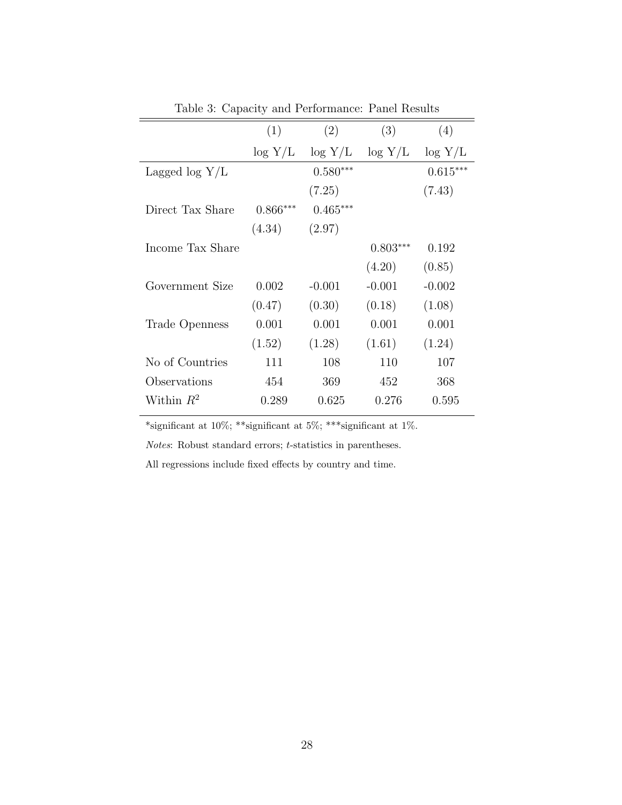|                  | (1)        | (2)        | (3)        | (4)        |
|------------------|------------|------------|------------|------------|
|                  | $\log Y/L$ | $\log Y/L$ | $\log Y/L$ | $\log Y/L$ |
| Lagged $log Y/L$ |            | $0.580***$ |            | $0.615***$ |
|                  |            | (7.25)     |            | (7.43)     |
| Direct Tax Share | $0.866***$ | $0.465***$ |            |            |
|                  | (4.34)     | (2.97)     |            |            |
| Income Tax Share |            |            | $0.803***$ | 0.192      |
|                  |            |            | (4.20)     | (0.85)     |
| Government Size  | 0.002      | $-0.001$   | $-0.001$   | $-0.002$   |
|                  | (0.47)     | (0.30)     | (0.18)     | (1.08)     |
| Trade Openness   | 0.001      | 0.001      | 0.001      | 0.001      |
|                  | (1.52)     | (1.28)     | (1.61)     | (1.24)     |
| No of Countries  | 111        | 108        | 110        | 107        |
| Observations     | 454        | 369        | 452        | 368        |
| Within $R^2$     | 0.289      | 0.625      | 0.276      | 0.595      |
|                  |            |            |            |            |

Table 3: Capacity and Performance: Panel Results

\*significant at 10%; \*\*\*significant at 5%; \*\*\*significant at 1%.

 $Notes:$  Robust standard errors;  $t\text{-statistics}$  in parentheses.

All regressions include fixed effects by country and time.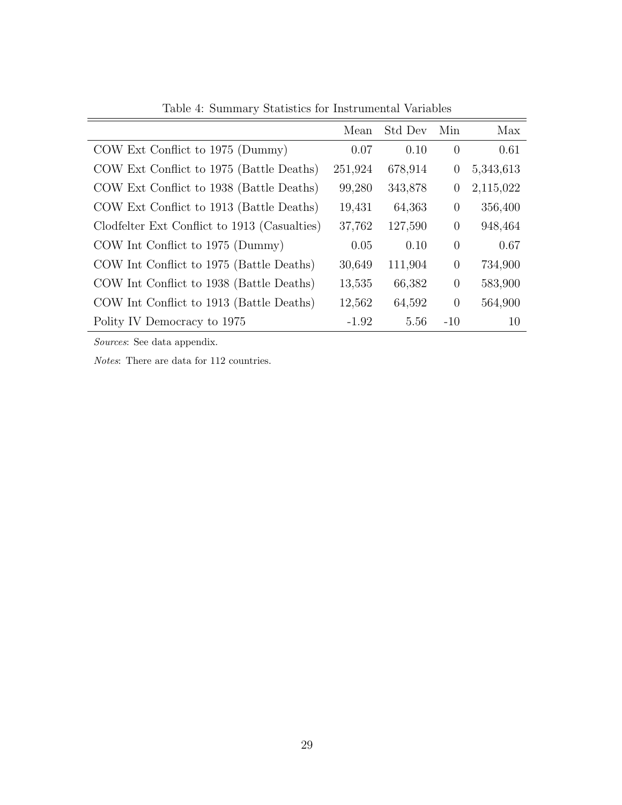|                                              | Mean    | Std Dev | Min            | Max       |
|----------------------------------------------|---------|---------|----------------|-----------|
| COW Ext Conflict to 1975 (Dummy)             | 0.07    | 0.10    | $\overline{0}$ | 0.61      |
| COW Ext Conflict to 1975 (Battle Deaths)     | 251,924 | 678,914 | $\theta$       | 5,343,613 |
| COW Ext Conflict to 1938 (Battle Deaths)     | 99,280  | 343,878 | $\theta$       | 2,115,022 |
| COW Ext Conflict to 1913 (Battle Deaths)     | 19,431  | 64,363  | $\Omega$       | 356,400   |
| Clodfelter Ext Conflict to 1913 (Casualties) | 37,762  | 127,590 | $\Omega$       | 948,464   |
| COW Int Conflict to 1975 (Dummy)             | 0.05    | 0.10    | $\theta$       | 0.67      |
| COW Int Conflict to 1975 (Battle Deaths)     | 30,649  | 111,904 | $\Omega$       | 734,900   |
| COW Int Conflict to 1938 (Battle Deaths)     | 13,535  | 66,382  | $\Omega$       | 583,900   |
| COW Int Conflict to 1913 (Battle Deaths)     | 12,562  | 64,592  | $\theta$       | 564,900   |
| Polity IV Democracy to 1975                  | $-1.92$ | 5.56    | $-10$          | 10        |

Table 4: Summary Statistics for Instrumental Variables

Sources: See data appendix.

Notes: There are data for 112 countries.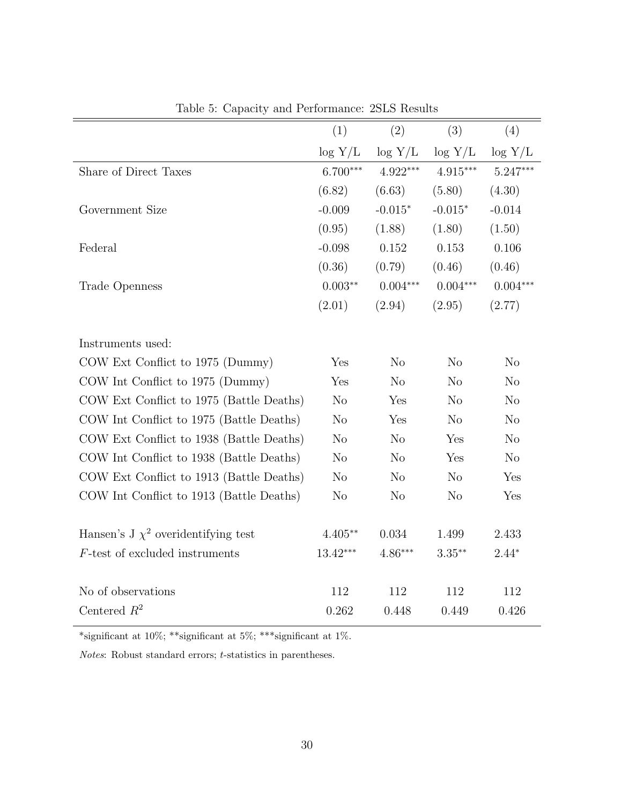|                                          | (1)            | (2)            | (3)            | (4)            |
|------------------------------------------|----------------|----------------|----------------|----------------|
|                                          | $\log Y/L$     | $\log Y/L$     | $\log Y/L$     | $\log Y/L$     |
| Share of Direct Taxes                    | $6.700***$     | $4.922***$     | $4.915***$     | $5.247***$     |
|                                          | (6.82)         | (6.63)         | (5.80)         | (4.30)         |
| Government Size                          | $-0.009$       | $-0.015*$      | $-0.015*$      | $-0.014$       |
|                                          | (0.95)         | (1.88)         | (1.80)         | (1.50)         |
| Federal                                  | $-0.098$       | 0.152          | 0.153          | 0.106          |
|                                          | (0.36)         | (0.79)         | (0.46)         | (0.46)         |
| Trade Openness                           | $0.003**$      | $0.004***$     | $0.004***$     | $0.004***$     |
|                                          | (2.01)         | (2.94)         | (2.95)         | (2.77)         |
|                                          |                |                |                |                |
| Instruments used:                        |                |                |                |                |
| COW Ext Conflict to 1975 (Dummy)         | Yes            | N <sub>o</sub> | N <sub>o</sub> | N <sub>o</sub> |
| COW Int Conflict to 1975 (Dummy)         | Yes            | N <sub>o</sub> | N <sub>o</sub> | N <sub>o</sub> |
| COW Ext Conflict to 1975 (Battle Deaths) | N <sub>o</sub> | Yes            | N <sub>o</sub> | N <sub>o</sub> |
| COW Int Conflict to 1975 (Battle Deaths) | N <sub>o</sub> | Yes            | N <sub>o</sub> | N <sub>o</sub> |
| COW Ext Conflict to 1938 (Battle Deaths) | N <sub>o</sub> | N <sub>o</sub> | Yes            | N <sub>o</sub> |
| COW Int Conflict to 1938 (Battle Deaths) | N <sub>o</sub> | N <sub>o</sub> | Yes            | No             |
| COW Ext Conflict to 1913 (Battle Deaths) | N <sub>o</sub> | N <sub>o</sub> | N <sub>o</sub> | Yes            |
| COW Int Conflict to 1913 (Battle Deaths) | No             | No             | No             | Yes            |
|                                          |                |                |                |                |
| Hansen's J $\chi^2$ overidentifying test | $4.405**$      | 0.034          | 1.499          | 2.433          |
| $F$ -test of excluded instruments        | $13.42***$     | $4.86***$      | $3.35***$      | $2.44*$        |
|                                          |                |                |                |                |
| No of observations                       | 112            | 112            | 112            | 112            |
| Centered $R^2$                           | 0.262          | 0.448          | 0.449          | 0.426          |

Table 5: Capacity and Performance: 2SLS Results

\*significant at 10%; \*\*\*significant at 5%; \*\*\*significant at 1%.

 $\it Notes:$  Robust standard errors;  $t\text{-statistics}$  in parentheses.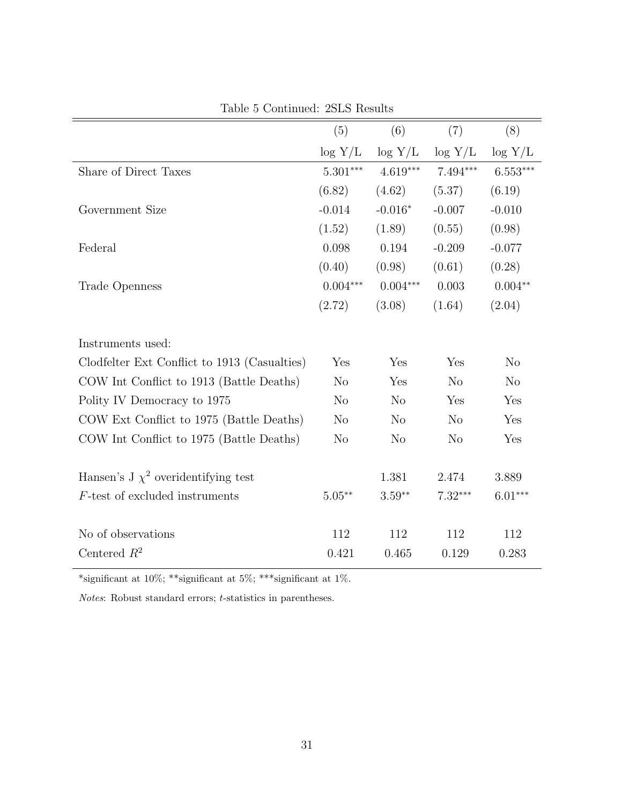|                                              | (5)               | (6)            | (7)            | (8)                    |
|----------------------------------------------|-------------------|----------------|----------------|------------------------|
|                                              | $\log Y/L$        | $\log Y/L$     | $\log Y/L$     | $\log Y/L$             |
| Share of Direct Taxes                        | $5.301***$        | $4.619***$     | 7.494***       | $6.553^{\ast\ast\ast}$ |
|                                              | (6.82)            | (4.62)         | (5.37)         | (6.19)                 |
| Government Size                              | $-0.014$          | $-0.016*$      | $-0.007$       | $-0.010$               |
|                                              | (1.52)            | (1.89)         | (0.55)         | (0.98)                 |
| Federal                                      | 0.098             | 0.194          | $-0.209$       | $-0.077$               |
|                                              | (0.40)            | (0.98)         | (0.61)         | (0.28)                 |
| Trade Openness                               | $0.004***$        | $0.004***$     | $0.003\,$      | $0.004^{\ast\ast}$     |
|                                              | (2.72)            | (3.08)         | (1.64)         | (2.04)                 |
| Instruments used:                            |                   |                |                |                        |
| Clodfelter Ext Conflict to 1913 (Casualties) | Yes               | Yes            | Yes            | N <sub>o</sub>         |
| COW Int Conflict to 1913 (Battle Deaths)     | N <sub>o</sub>    | Yes            | N <sub>o</sub> | N <sub>o</sub>         |
| Polity IV Democracy to 1975                  | N <sub>o</sub>    | $\rm No$       | Yes            | Yes                    |
| COW Ext Conflict to 1975 (Battle Deaths)     | No                | $\rm No$       | N <sub>o</sub> | Yes                    |
| COW Int Conflict to 1975 (Battle Deaths)     | N <sub>o</sub>    | N <sub>o</sub> | N <sub>o</sub> | Yes                    |
| Hansen's J $\chi^2$ overidentifying test     |                   | 1.381          | 2.474          | 3.889                  |
| $F$ -test of excluded instruments            | $5.05^{\ast\ast}$ | $3.59**$       | $7.32***$      | $6.01***$              |
|                                              |                   |                |                |                        |
| No of observations                           | 112               | 112            | 112            | 112                    |
| Centered $R^2$                               | 0.421             | 0.465          | 0.129          | 0.283                  |

Table 5 Continued: 2SLS Results

\*significant at 10%; \*\*significant at 5%; \*\*\*significant at 1%.

 $Notes:~Robust~standard~errors;~t\mbox{-statistics}~in~parents.$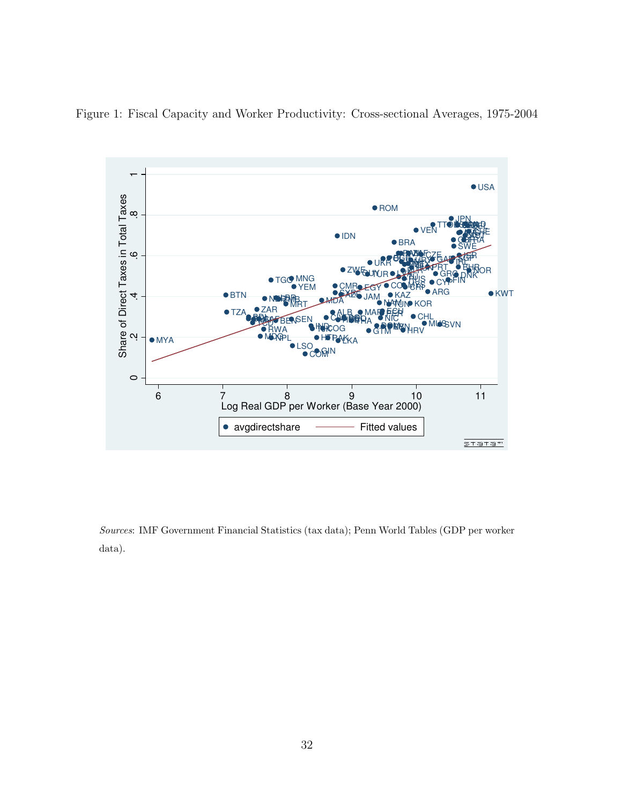

<span id="page-31-0"></span>Figure 1: Fiscal Capacity and Worker Productivity: Cross-sectional Averages, 1975-2004

Sources: IMF Government Financial Statistics (tax data); Penn World Tables (GDP per worker data).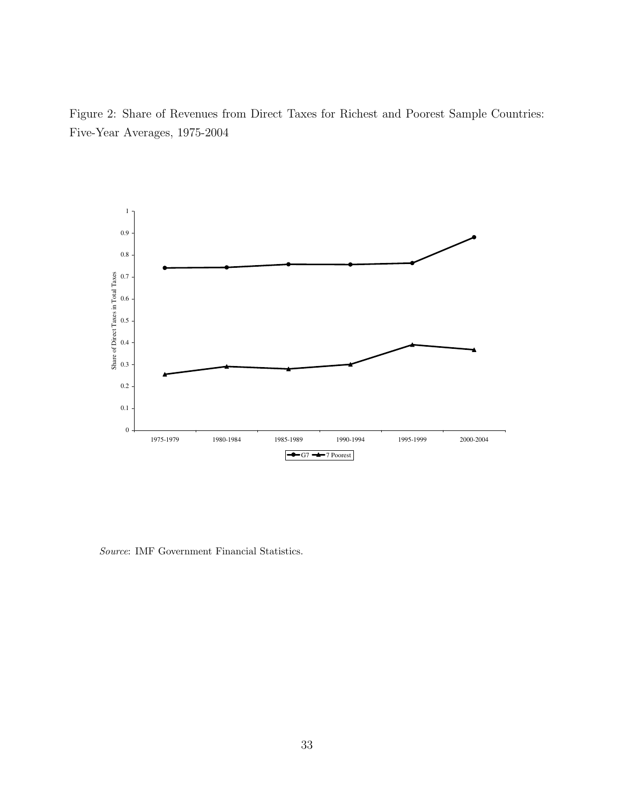<span id="page-32-0"></span>Figure 2: Share of Revenues from Direct Taxes for Richest and Poorest Sample Countries: Five-Year Averages, 1975-2004



Source: IMF Government Financial Statistics.